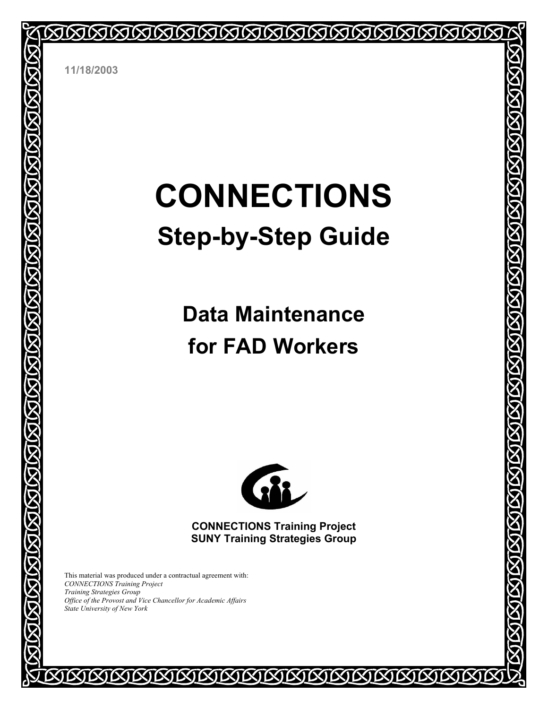

**11/18/2003** 

**MARIAN MARIAN MARIAN MARIAN MARIAN MARIAN** 

# **CONNECTIONS Step-by-Step Guide**

## **Data Maintenance for FAD Workers**



**CONNECTIONS Training Project SUNY Training Strategies Group** 

**EXIEXI** 

**MMMMMM** 

This material was produced under a contractual agreement with: *CONNECTIONS Training Project Training Strategies Group Office of the Provost and Vice Chancellor for Academic Affairs State University of New York* 

IX)

**KJKJ**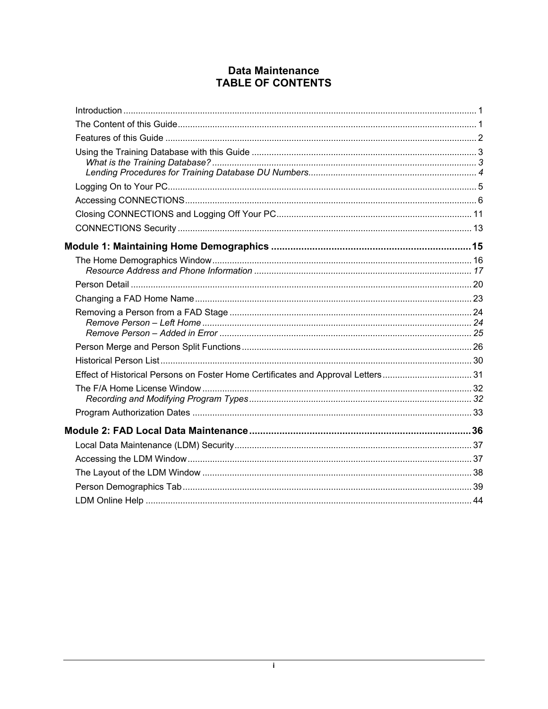#### **Data Maintenance TABLE OF CONTENTS**

| Effect of Historical Persons on Foster Home Certificates and Approval Letters31 |  |
|---------------------------------------------------------------------------------|--|
|                                                                                 |  |
|                                                                                 |  |
|                                                                                 |  |
|                                                                                 |  |
|                                                                                 |  |
|                                                                                 |  |
|                                                                                 |  |
|                                                                                 |  |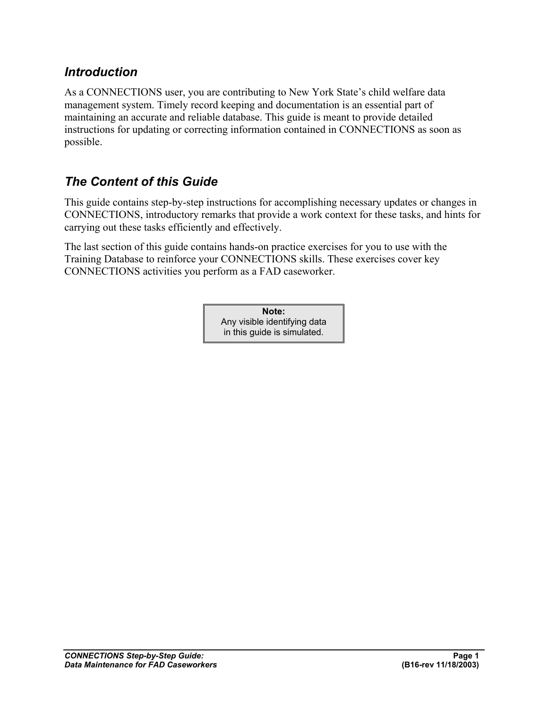#### *Introduction*

As a CONNECTIONS user, you are contributing to New York State's child welfare data management system. Timely record keeping and documentation is an essential part of maintaining an accurate and reliable database. This guide is meant to provide detailed instructions for updating or correcting information contained in CONNECTIONS as soon as possible.

## *The Content of this Guide*

This guide contains step-by-step instructions for accomplishing necessary updates or changes in CONNECTIONS, introductory remarks that provide a work context for these tasks, and hints for carrying out these tasks efficiently and effectively.

The last section of this guide contains hands-on practice exercises for you to use with the Training Database to reinforce your CONNECTIONS skills. These exercises cover key CONNECTIONS activities you perform as a FAD caseworker.

> **Note:** Any visible identifying data in this guide is simulated.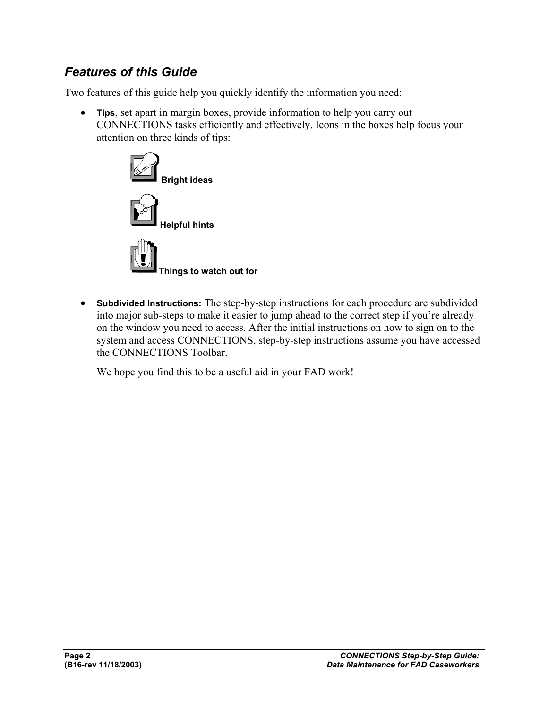## *Features of this Guide*

Two features of this guide help you quickly identify the information you need:

• **Tips**, set apart in margin boxes, provide information to help you carry out CONNECTIONS tasks efficiently and effectively. Icons in the boxes help focus your attention on three kinds of tips:



• **Subdivided Instructions:** The step-by-step instructions for each procedure are subdivided into major sub-steps to make it easier to jump ahead to the correct step if you're already on the window you need to access. After the initial instructions on how to sign on to the system and access CONNECTIONS, step-by-step instructions assume you have accessed the CONNECTIONS Toolbar.

We hope you find this to be a useful aid in your FAD work!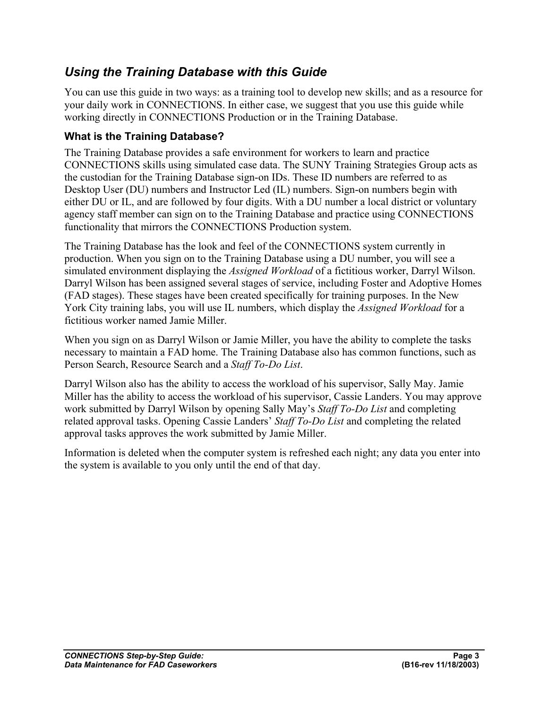## *Using the Training Database with this Guide*

You can use this guide in two ways: as a training tool to develop new skills; and as a resource for your daily work in CONNECTIONS. In either case, we suggest that you use this guide while working directly in CONNECTIONS Production or in the Training Database.

#### **What is the Training Database?**

The Training Database provides a safe environment for workers to learn and practice CONNECTIONS skills using simulated case data. The SUNY Training Strategies Group acts as the custodian for the Training Database sign-on IDs. These ID numbers are referred to as Desktop User (DU) numbers and Instructor Led (IL) numbers. Sign-on numbers begin with either DU or IL, and are followed by four digits. With a DU number a local district or voluntary agency staff member can sign on to the Training Database and practice using CONNECTIONS functionality that mirrors the CONNECTIONS Production system.

The Training Database has the look and feel of the CONNECTIONS system currently in production. When you sign on to the Training Database using a DU number, you will see a simulated environment displaying the *Assigned Workload* of a fictitious worker, Darryl Wilson. Darryl Wilson has been assigned several stages of service, including Foster and Adoptive Homes (FAD stages). These stages have been created specifically for training purposes. In the New York City training labs, you will use IL numbers, which display the *Assigned Workload* for a fictitious worker named Jamie Miller.

When you sign on as Darryl Wilson or Jamie Miller, you have the ability to complete the tasks necessary to maintain a FAD home. The Training Database also has common functions, such as Person Search, Resource Search and a *Staff To-Do List*.

Darryl Wilson also has the ability to access the workload of his supervisor, Sally May. Jamie Miller has the ability to access the workload of his supervisor, Cassie Landers. You may approve work submitted by Darryl Wilson by opening Sally May's *Staff To-Do List* and completing related approval tasks. Opening Cassie Landers' *Staff To-Do List* and completing the related approval tasks approves the work submitted by Jamie Miller.

Information is deleted when the computer system is refreshed each night; any data you enter into the system is available to you only until the end of that day.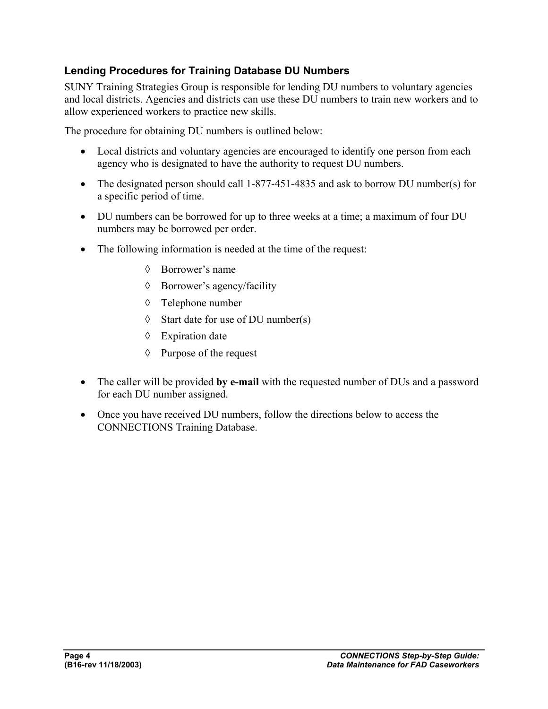#### **Lending Procedures for Training Database DU Numbers**

SUNY Training Strategies Group is responsible for lending DU numbers to voluntary agencies and local districts. Agencies and districts can use these DU numbers to train new workers and to allow experienced workers to practice new skills.

The procedure for obtaining DU numbers is outlined below:

- Local districts and voluntary agencies are encouraged to identify one person from each agency who is designated to have the authority to request DU numbers.
- The designated person should call 1-877-451-4835 and ask to borrow DU number(s) for a specific period of time.
- DU numbers can be borrowed for up to three weeks at a time; a maximum of four DU numbers may be borrowed per order.
- The following information is needed at the time of the request:
	- ◊ Borrower's name
	- ◊ Borrower's agency/facility
	- ◊ Telephone number
	- ◊ Start date for use of DU number(s)
	- ◊ Expiration date
	- ◊ Purpose of the request
- The caller will be provided **by e-mail** with the requested number of DUs and a password for each DU number assigned.
- Once you have received DU numbers, follow the directions below to access the CONNECTIONS Training Database.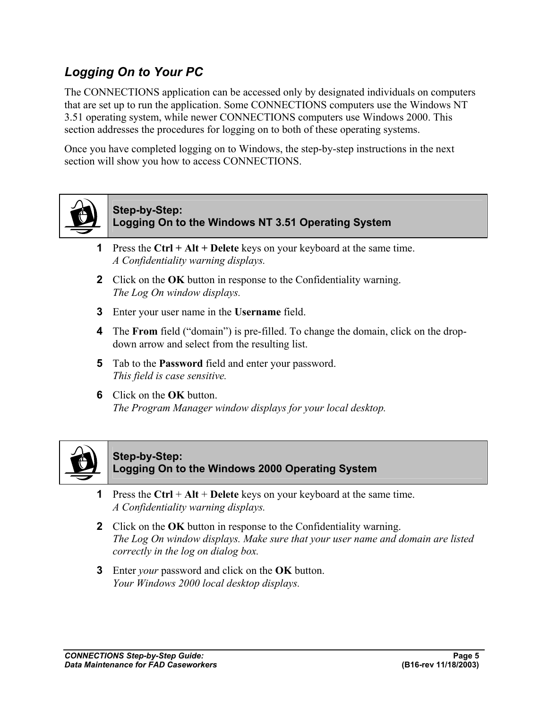## *Logging On to Your PC*

The CONNECTIONS application can be accessed only by designated individuals on computers that are set up to run the application. Some CONNECTIONS computers use the Windows NT 3.51 operating system, while newer CONNECTIONS computers use Windows 2000. This section addresses the procedures for logging on to both of these operating systems.

Once you have completed logging on to Windows, the step-by-step instructions in the next section will show you how to access CONNECTIONS.



#### **Step-by-Step: Logging On to the Windows NT 3.51 Operating System**

- **1** Press the **Ctrl + Alt + Delete** keys on your keyboard at the same time. *A Confidentiality warning displays.*
- **2** Click on the **OK** button in response to the Confidentiality warning. *The Log On window displays.*
- **3** Enter your user name in the **Username** field.
- **4** The **From** field ("domain") is pre-filled. To change the domain, click on the dropdown arrow and select from the resulting list.
- **5** Tab to the **Password** field and enter your password. *This field is case sensitive.*
- **6** Click on the **OK** button. *The Program Manager window displays for your local desktop.*



#### **Step-by-Step: Logging On to the Windows 2000 Operating System**

- **1** Press the **Ctrl** + **Alt** + **Delete** keys on your keyboard at the same time. *A Confidentiality warning displays.*
- **2** Click on the **OK** button in response to the Confidentiality warning. *The Log On window displays. Make sure that your user name and domain are listed correctly in the log on dialog box.*
- **3** Enter *your* password and click on the **OK** button. *Your Windows 2000 local desktop displays.*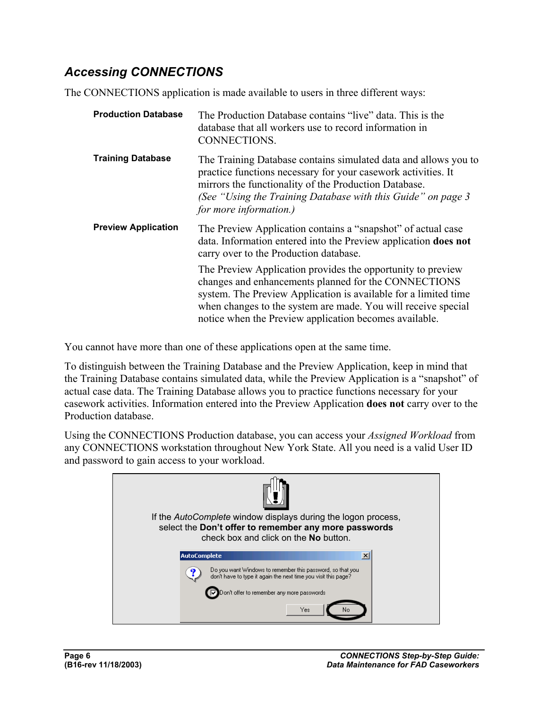## *Accessing CONNECTIONS*

The CONNECTIONS application is made available to users in three different ways:

| <b>Production Database</b> | The Production Database contains "live" data. This is the<br>database that all workers use to record information in<br>CONNECTIONS.                                                                                                                                                                               |
|----------------------------|-------------------------------------------------------------------------------------------------------------------------------------------------------------------------------------------------------------------------------------------------------------------------------------------------------------------|
| <b>Training Database</b>   | The Training Database contains simulated data and allows you to<br>practice functions necessary for your casework activities. It<br>mirrors the functionality of the Production Database.<br>(See "Using the Training Database with this Guide" on page 3<br>for more information.)                               |
| <b>Preview Application</b> | The Preview Application contains a "snapshot" of actual case<br>data. Information entered into the Preview application <b>does not</b><br>carry over to the Production database.                                                                                                                                  |
|                            | The Preview Application provides the opportunity to preview<br>changes and enhancements planned for the CONNECTIONS<br>system. The Preview Application is available for a limited time<br>when changes to the system are made. You will receive special<br>notice when the Preview application becomes available. |

You cannot have more than one of these applications open at the same time.

To distinguish between the Training Database and the Preview Application, keep in mind that the Training Database contains simulated data, while the Preview Application is a "snapshot" of actual case data. The Training Database allows you to practice functions necessary for your casework activities. Information entered into the Preview Application **does not** carry over to the Production database.

Using the CONNECTIONS Production database, you can access your *Assigned Workload* from any CONNECTIONS workstation throughout New York State. All you need is a valid User ID and password to gain access to your workload.

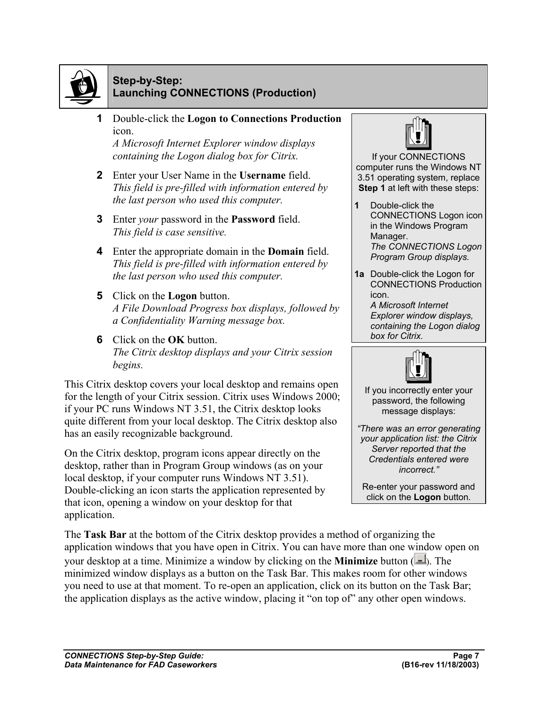

#### **Step-by-Step: Launching CONNECTIONS (Production)**

**1** Double-click the **Logon to Connections Production**  icon.

*A Microsoft Internet Explorer window displays containing the Logon dialog box for Citrix.*

- **2** Enter your User Name in the **Username** field. *This field is pre-filled with information entered by the last person who used this computer.*
- **3** Enter *your* password in the **Password** field. *This field is case sensitive.*
- **4** Enter the appropriate domain in the **Domain** field. *This field is pre-filled with information entered by the last person who used this computer.*
- **5** Click on the **Logon** button. *A File Download Progress box displays, followed by a Confidentiality Warning message box.*
- **6** Click on the **OK** button. *The Citrix desktop displays and your Citrix session begins.*

This Citrix desktop covers your local desktop and remains open for the length of your Citrix session. Citrix uses Windows 2000; if your PC runs Windows NT 3.51, the Citrix desktop looks quite different from your local desktop. The Citrix desktop also has an easily recognizable background.

On the Citrix desktop, program icons appear directly on the desktop, rather than in Program Group windows (as on your local desktop, if your computer runs Windows NT 3.51). Double-clicking an icon starts the application represented by that icon, opening a window on your desktop for that application.



If your CONNECTIONS computer runs the Windows NT 3.51 operating system, replace **Step 1** at left with these steps:

- **1** Double-click the CONNECTIONS Logon icon in the Windows Program Manager. *The CONNECTIONS Logon Program Group displays.*
- **1a** Double-click the Logon for CONNECTIONS Production icon.

*A Microsoft Internet Explorer window displays, containing the Logon dialog box for Citrix.*



If you incorrectly enter your password, the following message displays:

*"There was an error generating your application list: the Citrix Server reported that the Credentials entered were incorrect."* 

Re-enter your password and click on the **Logon** button*.*

The **Task Bar** at the bottom of the Citrix desktop provides a method of organizing the application windows that you have open in Citrix. You can have more than one window open on your desktop at a time. Minimize a window by clicking on the **Minimize** button ( $\Box$ ). The minimized window displays as a button on the Task Bar. This makes room for other windows you need to use at that moment. To re-open an application, click on its button on the Task Bar; the application displays as the active window, placing it "on top of" any other open windows.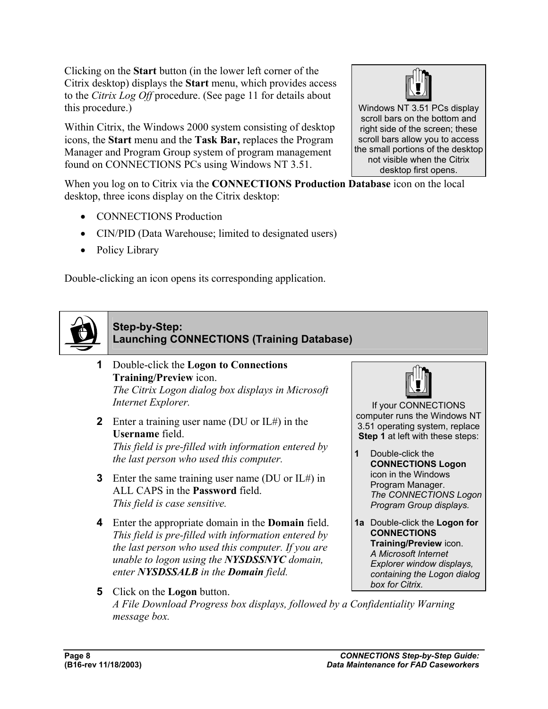Clicking on the **Start** button (in the lower left corner of the Citrix desktop) displays the **Start** menu, which provides access to the *Citrix Log Off* procedure. (See page 11 for details about this procedure.)

Within Citrix, the Windows 2000 system consisting of desktop icons, the **Start** menu and the **Task Bar,** replaces the Program Manager and Program Group system of program management found on CONNECTIONS PCs using Windows NT 3.51.

When you log on to Citrix via the **CONNECTIONS Production Database** icon on the local desktop, three icons display on the Citrix desktop:

- CONNECTIONS Production
- CIN/PID (Data Warehouse; limited to designated users)
- Policy Library

Double-clicking an icon opens its corresponding application.



#### **Step-by-Step: Launching CONNECTIONS (Training Database)**

- **1** Double-click the **Logon to Connections Training/Preview** icon. *The Citrix Logon dialog box displays in Microsoft Internet Explorer.*
- **2** Enter a training user name (DU or IL#) in the **Username** field. *This field is pre-filled with information entered by the last person who used this computer.*
- **3** Enter the same training user name (DU or IL#) in ALL CAPS in the **Password** field. *This field is case sensitive.*
- **4** Enter the appropriate domain in the **Domain** field. *This field is pre-filled with information entered by the last person who used this computer. If you are unable to logon using the NYSDSSNYC domain, enter NYSDSSALB in the Domain field.*



If your CONNECTIONS computer runs the Windows NT 3.51 operating system, replace **Step 1** at left with these steps:

- **1** Double-click the **CONNECTIONS Logon** icon in the Windows Program Manager. *The CONNECTIONS Logon Program Group displays.*
- **1a** Double-click the **Logon for CONNECTIONS Training/Preview** icon. *A Microsoft Internet Explorer window displays, containing the Logon dialog box for Citrix.*
- **5** Click on the **Logon** button. *A File Download Progress box displays, followed by a Confidentiality Warning message box.*



Windows NT 3.51 PCs display scroll bars on the bottom and right side of the screen; these scroll bars allow you to access the small portions of the desktop not visible when the Citrix desktop first opens.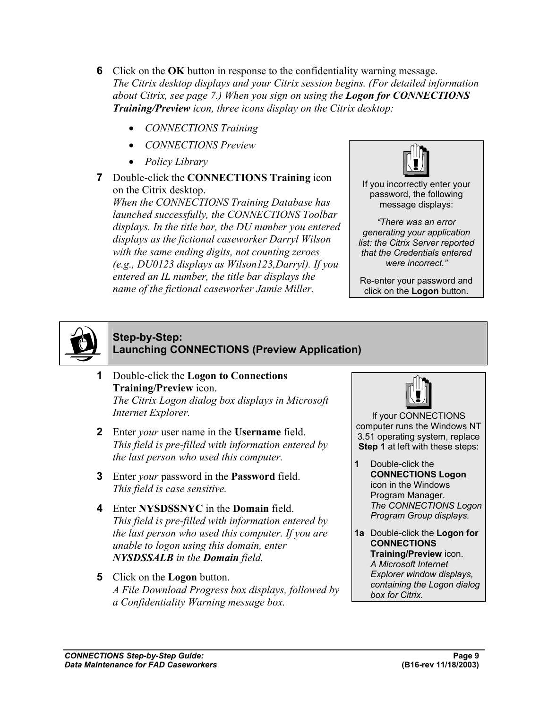- **6** Click on the **OK** button in response to the confidentiality warning message. *The Citrix desktop displays and your Citrix session begins. (For detailed information about Citrix, see page 7.) When you sign on using the Logon for CONNECTIONS Training/Preview icon, three icons display on the Citrix desktop:* 
	- *CONNECTIONS Training*
	- *CONNECTIONS Preview*
	- *Policy Library*
- **7** Double-click the **CONNECTIONS Training** icon on the Citrix desktop.

*When the CONNECTIONS Training Database has launched successfully, the CONNECTIONS Toolbar displays. In the title bar, the DU number you entered displays as the fictional caseworker Darryl Wilson with the same ending digits, not counting zeroes (e.g., DU0123 displays as Wilson123,Darryl). If you entered an IL number, the title bar displays the name of the fictional caseworker Jamie Miller.*



If you incorrectly enter your password, the following message displays:

*"There was an error generating your application list: the Citrix Server reported that the Credentials entered were incorrect."* 

Re-enter your password and click on the **Logon** button*.*



#### **Step-by-Step: Launching CONNECTIONS (Preview Application)**

- **1** Double-click the **Logon to Connections Training/Preview** icon. *The Citrix Logon dialog box displays in Microsoft Internet Explorer.*
- **2** Enter *your* user name in the **Username** field. *This field is pre-filled with information entered by the last person who used this computer.*
- **3** Enter *your* password in the **Password** field. *This field is case sensitive.*
- **4** Enter **NYSDSSNYC** in the **Domain** field. *This field is pre-filled with information entered by the last person who used this computer. If you are unable to logon using this domain, enter NYSDSSALB in the Domain field.*
- **5** Click on the **Logon** button. *A File Download Progress box displays, followed by a Confidentiality Warning message box.*



If your CONNECTIONS computer runs the Windows NT 3.51 operating system, replace **Step 1** at left with these steps:

- **1** Double-click the **CONNECTIONS Logon** icon in the Windows Program Manager. *The CONNECTIONS Logon Program Group displays.*
- **1a** Double-click the **Logon for CONNECTIONS Training/Preview** icon. *A Microsoft Internet Explorer window displays, containing the Logon dialog box for Citrix.*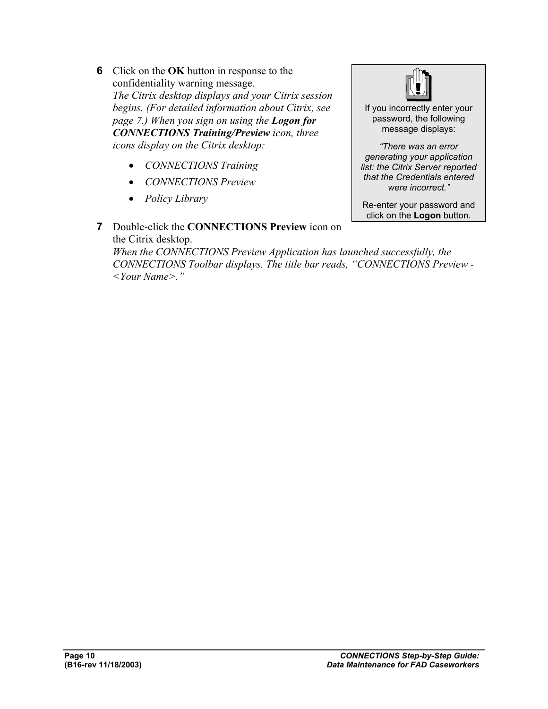- **6** Click on the **OK** button in response to the confidentiality warning message. *The Citrix desktop displays and your Citrix session begins. (For detailed information about Citrix, see page 7.) When you sign on using the Logon for CONNECTIONS Training/Preview icon, three icons display on the Citrix desktop:* 
	- *CONNECTIONS Training*
	- *CONNECTIONS Preview*
	- *Policy Library*



If you incorrectly enter your password, the following message displays:

*"There was an error generating your application list: the Citrix Server reported that the Credentials entered were incorrect."* 

Re-enter your password and click on the **Logon** button*.*

**7** Double-click the **CONNECTIONS Preview** icon on the Citrix desktop.

*When the CONNECTIONS Preview Application has launched successfully, the CONNECTIONS Toolbar displays. The title bar reads, "CONNECTIONS Preview - <Your Name>."*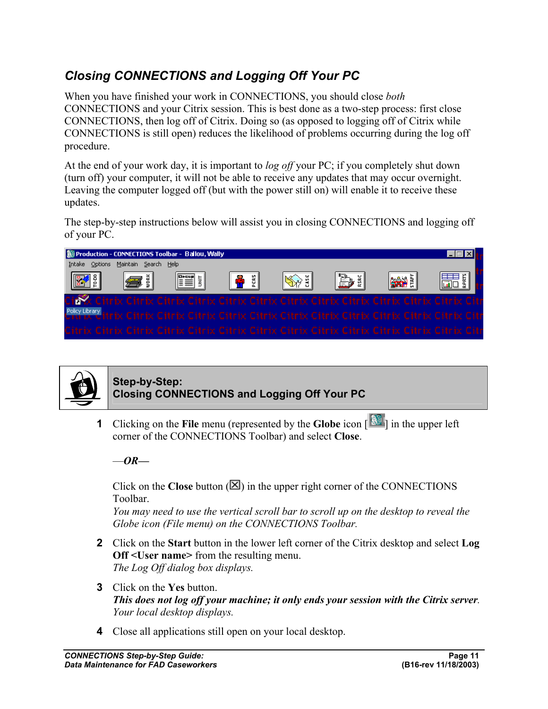## *Closing CONNECTIONS and Logging Off Your PC*

When you have finished your work in CONNECTIONS, you should close *both*  CONNECTIONS and your Citrix session. This is best done as a two-step process: first close CONNECTIONS, then log off of Citrix. Doing so (as opposed to logging off of Citrix while CONNECTIONS is still open) reduces the likelihood of problems occurring during the log off procedure.

At the end of your work day, it is important to *log off* your PC; if you completely shut down (turn off) your computer, it will not be able to receive any updates that may occur overnight. Leaving the computer logged off (but with the power still on) will enable it to receive these updates.

The step-by-step instructions below will assist you in closing CONNECTIONS and logging off of your PC.

| Production - CONNECTIONS Toolbar - Ballou, Wally |                      |            |                     |  |    |                                                                                                                |  |
|--------------------------------------------------|----------------------|------------|---------------------|--|----|----------------------------------------------------------------------------------------------------------------|--|
| Options<br>Intake                                | Maintain Search Help |            |                     |  |    |                                                                                                                |  |
| <b>IFA</b> 3                                     | læ i                 | <b>FEE</b> | $ \mathbf{P}$ : $ $ |  | P) | <b>SAY</b>                                                                                                     |  |
|                                                  |                      |            |                     |  |    | Citrix Citrix Citrix Citrix Citrix Citrix Citrix Citrix Citrix Citrix Citrix Citrix Citr                       |  |
|                                                  |                      |            |                     |  |    | Policy Library Litrix Citrix Citrix Citrix Citrix Citrix Citrix Citrix Citrix Citrix Citrix Citrix Citrix Citr |  |
|                                                  |                      |            |                     |  |    | Citrix Citrix Citrix Citrix Citrix Citrix Citrix Citrix Citrix Citrix Citrix Citrix Citrix Citr                |  |



#### **Step-by-Step: Closing CONNECTIONS and Logging Off Your PC**

**1** Clicking on the **File** menu (represented by the **Globe** icon  $\begin{bmatrix} 1 & 0 \\ 0 & 0 \end{bmatrix}$  in the upper left corner of the CONNECTIONS Toolbar) and select **Close**.

 $-\theta R$ —

Click on the **Close** button  $(\mathbb{Z})$  in the upper right corner of the CONNECTIONS Toolbar.

*You may need to use the vertical scroll bar to scroll up on the desktop to reveal the Globe icon (File menu) on the CONNECTIONS Toolbar.*

- **2** Click on the **Start** button in the lower left corner of the Citrix desktop and select **Log Off <User name>** from the resulting menu. *The Log Off dialog box displays.*
- **3** Click on the **Yes** button. *This does not log off your machine; it only ends your session with the Citrix server. Your local desktop displays.*
- **4** Close all applications still open on your local desktop.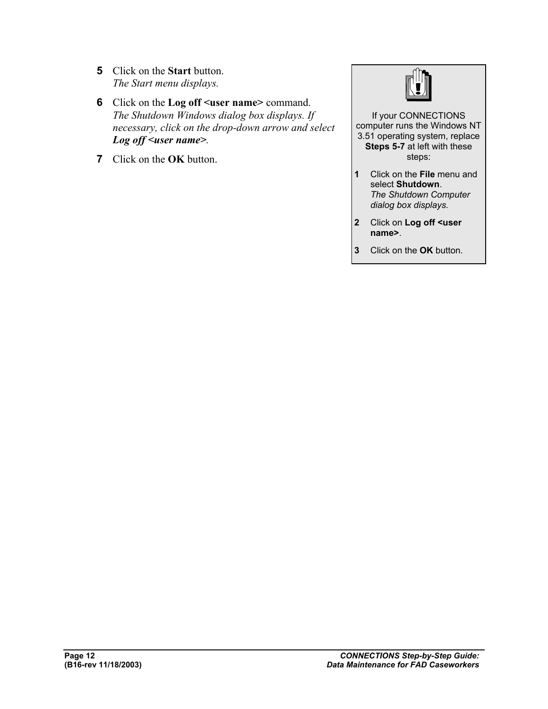- **5** Click on the **Start** button. *The Start menu displays.*
- **6** Click on the **Log off <user name>** command. *The Shutdown Windows dialog box displays. If necessary, click on the drop-down arrow and select Log off <user name>.*
- **7** Click on the **OK** button.



If your CONNECTIONS computer runs the Windows NT 3.51 operating system, replace **Steps 5-7** at left with these steps:

- **1** Click on the **File** menu and select **Shutdown**. *The Shutdown Computer dialog box displays.*
- **2** Click on **Log off <user name>**.
- **3** Click on the **OK** button.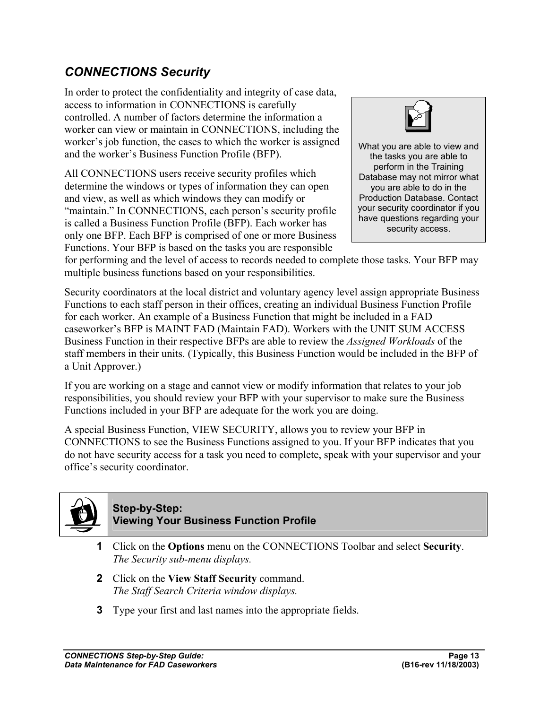## *CONNECTIONS Security*

In order to protect the confidentiality and integrity of case data, access to information in CONNECTIONS is carefully controlled. A number of factors determine the information a worker can view or maintain in CONNECTIONS, including the worker's job function, the cases to which the worker is assigned and the worker's Business Function Profile (BFP).

All CONNECTIONS users receive security profiles which determine the windows or types of information they can open and view, as well as which windows they can modify or "maintain." In CONNECTIONS, each person's security profile is called a Business Function Profile (BFP). Each worker has only one BFP. Each BFP is comprised of one or more Business Functions. Your BFP is based on the tasks you are responsible



What you are able to view and the tasks you are able to perform in the Training Database may not mirror what you are able to do in the Production Database. Contact your security coordinator if you have questions regarding your security access.

for performing and the level of access to records needed to complete those tasks. Your BFP may multiple business functions based on your responsibilities.

Security coordinators at the local district and voluntary agency level assign appropriate Business Functions to each staff person in their offices, creating an individual Business Function Profile for each worker. An example of a Business Function that might be included in a FAD caseworker's BFP is MAINT FAD (Maintain FAD). Workers with the UNIT SUM ACCESS Business Function in their respective BFPs are able to review the *Assigned Workloads* of the staff members in their units. (Typically, this Business Function would be included in the BFP of a Unit Approver.)

If you are working on a stage and cannot view or modify information that relates to your job responsibilities, you should review your BFP with your supervisor to make sure the Business Functions included in your BFP are adequate for the work you are doing.

A special Business Function, VIEW SECURITY, allows you to review your BFP in CONNECTIONS to see the Business Functions assigned to you. If your BFP indicates that you do not have security access for a task you need to complete, speak with your supervisor and your office's security coordinator.



#### **Step-by-Step: Viewing Your Business Function Profile**

- **1** Click on the **Options** menu on the CONNECTIONS Toolbar and select **Security**. *The Security sub-menu displays.*
- **2** Click on the **View Staff Security** command. *The Staff Search Criteria window displays.*
- **3** Type your first and last names into the appropriate fields.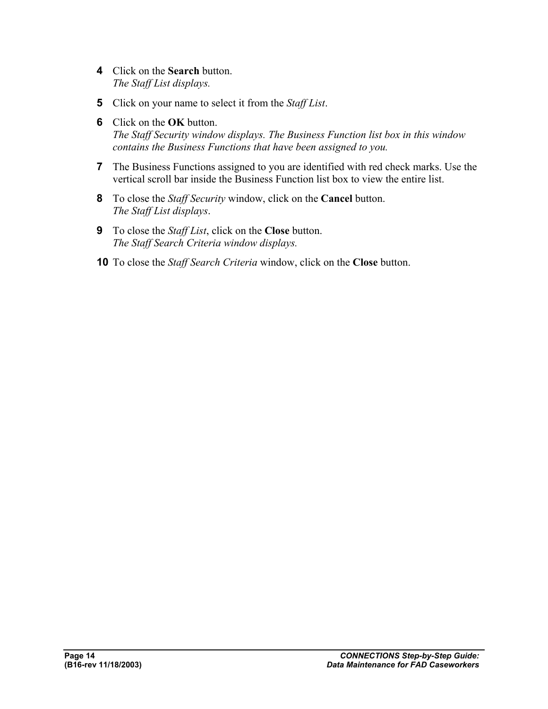- **4** Click on the **Search** button. *The Staff List displays.*
- **5** Click on your name to select it from the *Staff List*.
- **6** Click on the **OK** button. *The Staff Security window displays. The Business Function list box in this window contains the Business Functions that have been assigned to you.*
- **7** The Business Functions assigned to you are identified with red check marks. Use the vertical scroll bar inside the Business Function list box to view the entire list.
- **8** To close the *Staff Security* window, click on the **Cancel** button. *The Staff List displays*.
- **9** To close the *Staff List*, click on the **Close** button. *The Staff Search Criteria window displays.*
- **10** To close the *Staff Search Criteria* window, click on the **Close** button.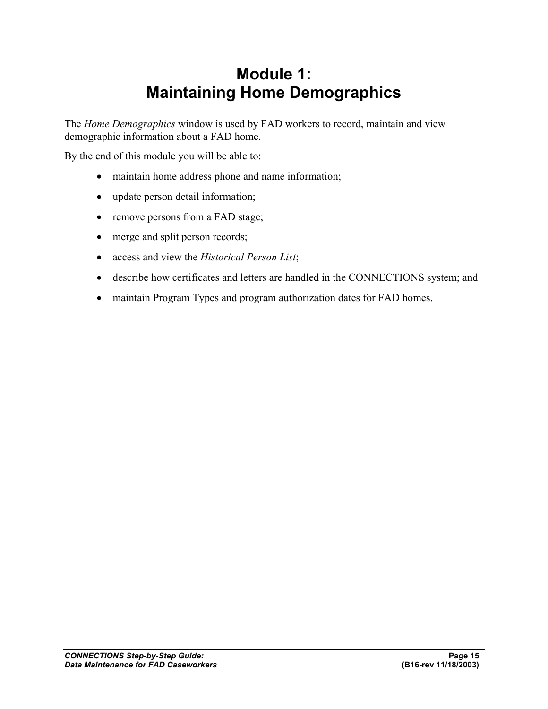## **Module 1: Maintaining Home Demographics**

The *Home Demographics* window is used by FAD workers to record, maintain and view demographic information about a FAD home.

By the end of this module you will be able to:

- maintain home address phone and name information;
- update person detail information;
- remove persons from a FAD stage;
- merge and split person records;
- access and view the *Historical Person List*;
- describe how certificates and letters are handled in the CONNECTIONS system; and
- maintain Program Types and program authorization dates for FAD homes.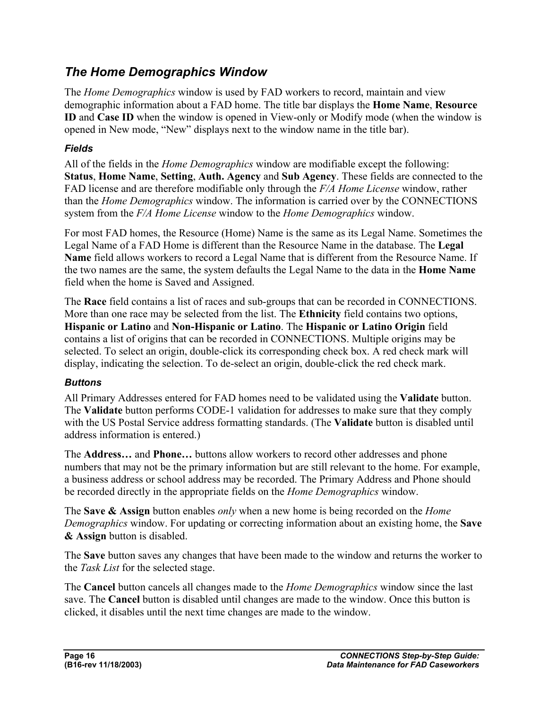## *The Home Demographics Window*

The *Home Demographics* window is used by FAD workers to record, maintain and view demographic information about a FAD home. The title bar displays the **Home Name**, **Resource ID** and **Case ID** when the window is opened in View-only or Modify mode (when the window is opened in New mode, "New" displays next to the window name in the title bar).

#### *Fields*

All of the fields in the *Home Demographics* window are modifiable except the following: **Status**, **Home Name**, **Setting**, **Auth. Agency** and **Sub Agency**. These fields are connected to the FAD license and are therefore modifiable only through the *F/A Home License* window, rather than the *Home Demographics* window. The information is carried over by the CONNECTIONS system from the *F/A Home License* window to the *Home Demographics* window.

For most FAD homes, the Resource (Home) Name is the same as its Legal Name. Sometimes the Legal Name of a FAD Home is different than the Resource Name in the database. The **Legal Name** field allows workers to record a Legal Name that is different from the Resource Name. If the two names are the same, the system defaults the Legal Name to the data in the **Home Name** field when the home is Saved and Assigned.

The **Race** field contains a list of races and sub-groups that can be recorded in CONNECTIONS. More than one race may be selected from the list. The **Ethnicity** field contains two options, **Hispanic or Latino** and **Non-Hispanic or Latino**. The **Hispanic or Latino Origin** field contains a list of origins that can be recorded in CONNECTIONS. Multiple origins may be selected. To select an origin, double-click its corresponding check box. A red check mark will display, indicating the selection. To de-select an origin, double-click the red check mark.

#### *Buttons*

All Primary Addresses entered for FAD homes need to be validated using the **Validate** button. The **Validate** button performs CODE-1 validation for addresses to make sure that they comply with the US Postal Service address formatting standards. (The **Validate** button is disabled until address information is entered.)

The **Address…** and **Phone…** buttons allow workers to record other addresses and phone numbers that may not be the primary information but are still relevant to the home. For example, a business address or school address may be recorded. The Primary Address and Phone should be recorded directly in the appropriate fields on the *Home Demographics* window.

The **Save & Assign** button enables *only* when a new home is being recorded on the *Home Demographics* window. For updating or correcting information about an existing home, the **Save & Assign** button is disabled.

The **Save** button saves any changes that have been made to the window and returns the worker to the *Task List* for the selected stage.

The **Cancel** button cancels all changes made to the *Home Demographics* window since the last save. The **Cancel** button is disabled until changes are made to the window. Once this button is clicked, it disables until the next time changes are made to the window.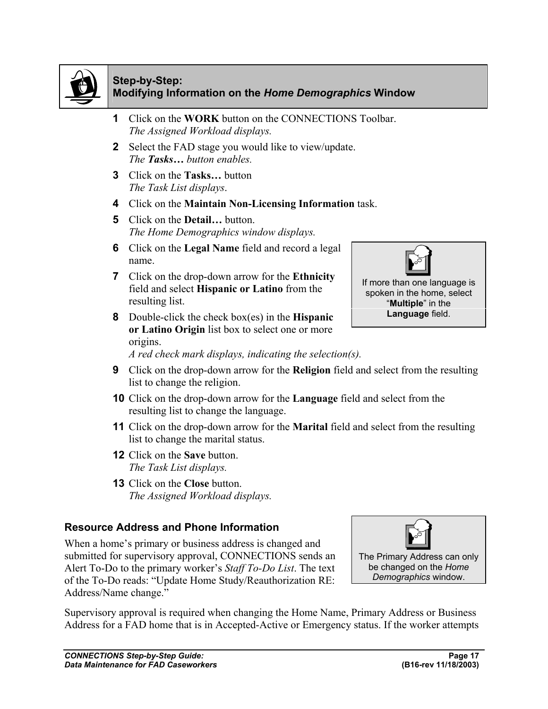

#### **Step-by-Step: Modifying Information on the** *Home Demographics* **Window**

- **1** Click on the **WORK** button on the CONNECTIONS Toolbar. *The Assigned Workload displays.*
- **2** Select the FAD stage you would like to view/update. *The Tasks… button enables.*
- **3** Click on the **Tasks…** button *The Task List displays*.
- **4** Click on the **Maintain Non-Licensing Information** task.
- **5** Click on the **Detail…** button. *The Home Demographics window displays.*
- **6** Click on the **Legal Name** field and record a legal name.
- **7** Click on the drop-down arrow for the **Ethnicity** field and select **Hispanic or Latino** from the resulting list.
- **8** Double-click the check box(es) in the **Hispanic or Latino Origin** list box to select one or more origins.



- **9** Click on the drop-down arrow for the **Religion** field and select from the resulting list to change the religion.
- **10** Click on the drop-down arrow for the **Language** field and select from the resulting list to change the language.
- **11** Click on the drop-down arrow for the **Marital** field and select from the resulting list to change the marital status.
- **12** Click on the **Save** button. *The Task List displays.*
- **13** Click on the **Close** button. *The Assigned Workload displays.*

#### **Resource Address and Phone Information**

When a home's primary or business address is changed and submitted for supervisory approval, CONNECTIONS sends an Alert To-Do to the primary worker's *Staff To-Do List*. The text of the To-Do reads: "Update Home Study/Reauthorization RE: Address/Name change."

Supervisory approval is required when changing the Home Name, Primary Address or Business Address for a FAD home that is in Accepted-Active or Emergency status. If the worker attempts





If more than one language is spoken in the home, select "**Multiple**" in the **Language** field.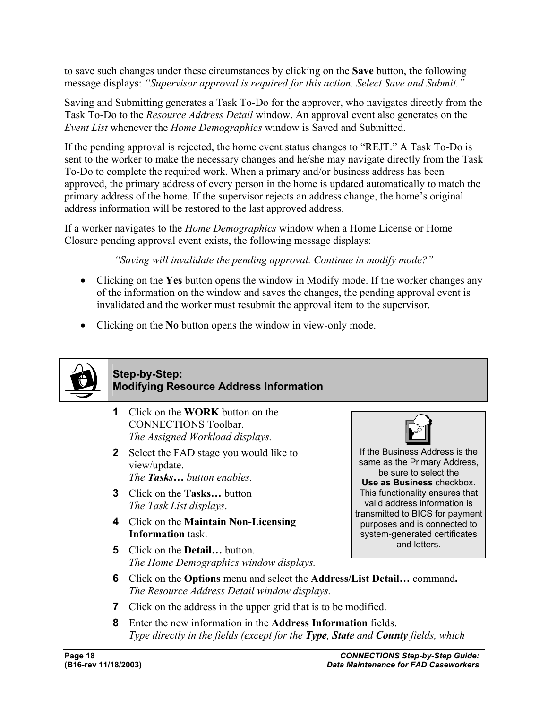to save such changes under these circumstances by clicking on the **Save** button, the following message displays: *"Supervisor approval is required for this action. Select Save and Submit."*

Saving and Submitting generates a Task To-Do for the approver, who navigates directly from the Task To-Do to the *Resource Address Detail* window. An approval event also generates on the *Event List* whenever the *Home Demographics* window is Saved and Submitted.

If the pending approval is rejected, the home event status changes to "REJT." A Task To-Do is sent to the worker to make the necessary changes and he/she may navigate directly from the Task To-Do to complete the required work. When a primary and/or business address has been approved, the primary address of every person in the home is updated automatically to match the primary address of the home. If the supervisor rejects an address change, the home's original address information will be restored to the last approved address.

If a worker navigates to the *Home Demographics* window when a Home License or Home Closure pending approval event exists, the following message displays:

*"Saving will invalidate the pending approval. Continue in modify mode?"*

- Clicking on the **Yes** button opens the window in Modify mode. If the worker changes any of the information on the window and saves the changes, the pending approval event is invalidated and the worker must resubmit the approval item to the supervisor.
- Clicking on the **No** button opens the window in view-only mode.



#### **Step-by-Step: Modifying Resource Address Information**

- **1** Click on the **WORK** button on the CONNECTIONS Toolbar. *The Assigned Workload displays.*
- **2** Select the FAD stage you would like to view/update. *The Tasks… button enables.*
- **3** Click on the **Tasks…** button *The Task List displays*.
- **4** Click on the **Maintain Non-Licensing Information** task.
- **5** Click on the **Detail…** button. *The Home Demographics window displays.*



If the Business Address is the same as the Primary Address, be sure to select the **Use as Business** checkbox. This functionality ensures that valid address information is transmitted to BICS for payment purposes and is connected to system-generated certificates and letters.

- **6** Click on the **Options** menu and select the **Address/List Detail…** command**.**  *The Resource Address Detail window displays.*
- **7** Click on the address in the upper grid that is to be modified.
- **8** Enter the new information in the **Address Information** fields. *Type directly in the fields (except for the Type, State and County fields, which*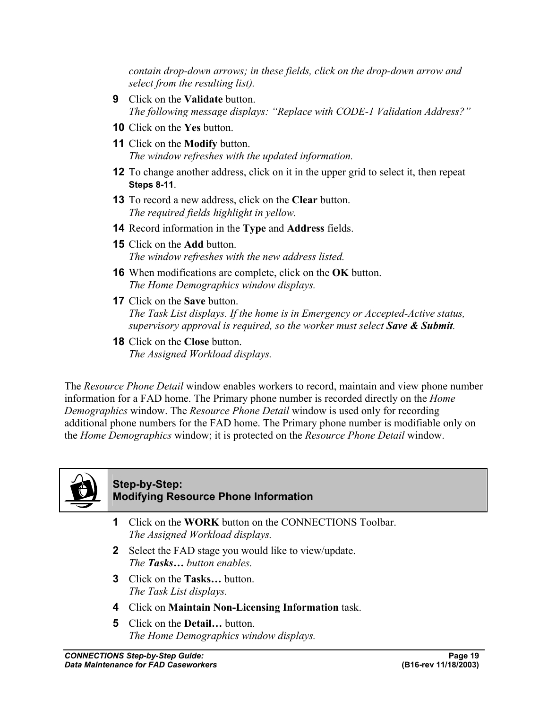*contain drop-down arrows; in these fields, click on the drop-down arrow and select from the resulting list).*

- **9** Click on the **Validate** button. *The following message displays: "Replace with CODE-1 Validation Address?"*
- **10** Click on the **Yes** button.
- **11** Click on the **Modify** button. *The window refreshes with the updated information.*
- **12** To change another address, click on it in the upper grid to select it, then repeat **Steps 8-11**.
- **13** To record a new address, click on the **Clear** button. *The required fields highlight in yellow.*
- **14** Record information in the **Type** and **Address** fields.
- **15** Click on the **Add** button. *The window refreshes with the new address listed.*
- **16** When modifications are complete, click on the **OK** button. *The Home Demographics window displays.*
- **17** Click on the **Save** button. *The Task List displays. If the home is in Emergency or Accepted-Active status, supervisory approval is required, so the worker must select Save & Submit.*
- **18** Click on the **Close** button. *The Assigned Workload displays.*

The *Resource Phone Detail* window enables workers to record, maintain and view phone number information for a FAD home. The Primary phone number is recorded directly on the *Home Demographics* window. The *Resource Phone Detail* window is used only for recording additional phone numbers for the FAD home. The Primary phone number is modifiable only on the *Home Demographics* window; it is protected on the *Resource Phone Detail* window.



#### **Step-by-Step: Modifying Resource Phone Information**

- **1** Click on the **WORK** button on the CONNECTIONS Toolbar. *The Assigned Workload displays.*
- **2** Select the FAD stage you would like to view/update. *The Tasks… button enables.*
- **3** Click on the **Tasks…** button. *The Task List displays.*
- **4** Click on **Maintain Non-Licensing Information** task.
- **5** Click on the **Detail…** button. *The Home Demographics window displays.*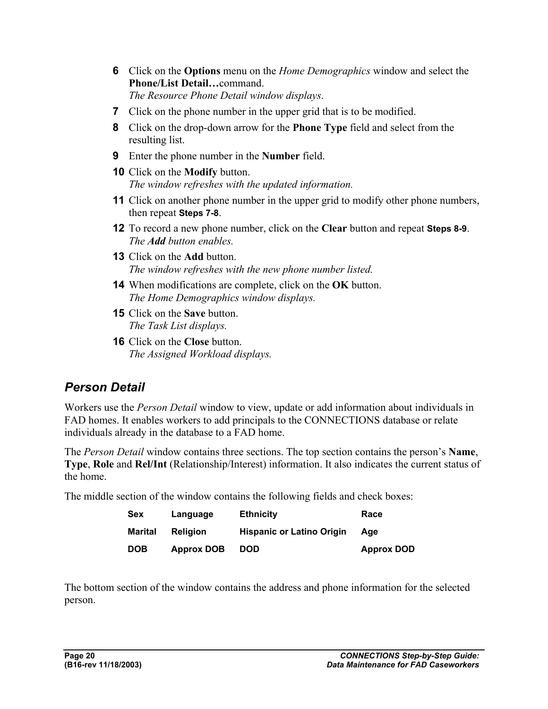- **6** Click on the **Options** menu on the *Home Demographics* window and select the **Phone/List Detail…**command. *The Resource Phone Detail window displays*.
- **7** Click on the phone number in the upper grid that is to be modified.
- **8** Click on the drop-down arrow for the **Phone Type** field and select from the resulting list.
- **9** Enter the phone number in the **Number** field.
- **10** Click on the **Modify** button. *The window refreshes with the updated information.*
- **11** Click on another phone number in the upper grid to modify other phone numbers, then repeat **Steps 7-8**.
- **12** To record a new phone number, click on the **Clear** button and repeat **Steps 8-9**. *The Add button enables.*
- **13** Click on the **Add** button. *The window refreshes with the new phone number listed.*
- **14** When modifications are complete, click on the **OK** button. *The Home Demographics window displays.*
- **15** Click on the **Save** button. *The Task List displays.*
- **16** Click on the **Close** button. *The Assigned Workload displays.*

## *Person Detail*

Workers use the *Person Detail* window to view, update or add information about individuals in FAD homes. It enables workers to add principals to the CONNECTIONS database or relate individuals already in the database to a FAD home.

The *Person Detail* window contains three sections. The top section contains the person's **Name**, **Type**, **Role** and **Rel/Int** (Relationship/Interest) information. It also indicates the current status of the home.

The middle section of the window contains the following fields and check boxes:

| <b>Sex</b>     | Language          | <b>Ethnicity</b>                 | Race              |
|----------------|-------------------|----------------------------------|-------------------|
| <b>Marital</b> | <b>Religion</b>   | <b>Hispanic or Latino Origin</b> | Age               |
| <b>DOB</b>     | <b>Approx DOB</b> | <b>DOD</b>                       | <b>Approx DOD</b> |

The bottom section of the window contains the address and phone information for the selected person.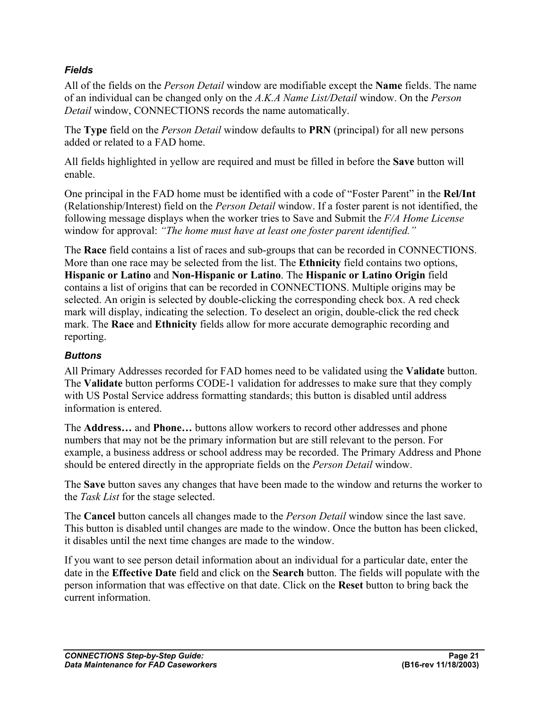#### *Fields*

All of the fields on the *Person Detail* window are modifiable except the **Name** fields. The name of an individual can be changed only on the *A.K.A Name List/Detail* window. On the *Person Detail* window, CONNECTIONS records the name automatically.

The **Type** field on the *Person Detail* window defaults to **PRN** (principal) for all new persons added or related to a FAD home.

All fields highlighted in yellow are required and must be filled in before the **Save** button will enable.

One principal in the FAD home must be identified with a code of "Foster Parent" in the **Rel/Int** (Relationship/Interest) field on the *Person Detail* window. If a foster parent is not identified, the following message displays when the worker tries to Save and Submit the *F/A Home License*  window for approval: *"The home must have at least one foster parent identified."*

The **Race** field contains a list of races and sub-groups that can be recorded in CONNECTIONS. More than one race may be selected from the list. The **Ethnicity** field contains two options, **Hispanic or Latino** and **Non-Hispanic or Latino**. The **Hispanic or Latino Origin** field contains a list of origins that can be recorded in CONNECTIONS. Multiple origins may be selected. An origin is selected by double-clicking the corresponding check box. A red check mark will display, indicating the selection. To deselect an origin, double-click the red check mark. The **Race** and **Ethnicity** fields allow for more accurate demographic recording and reporting.

#### *Buttons*

All Primary Addresses recorded for FAD homes need to be validated using the **Validate** button. The **Validate** button performs CODE-1 validation for addresses to make sure that they comply with US Postal Service address formatting standards; this button is disabled until address information is entered.

The **Address…** and **Phone…** buttons allow workers to record other addresses and phone numbers that may not be the primary information but are still relevant to the person. For example, a business address or school address may be recorded. The Primary Address and Phone should be entered directly in the appropriate fields on the *Person Detail* window.

The **Save** button saves any changes that have been made to the window and returns the worker to the *Task List* for the stage selected.

The **Cancel** button cancels all changes made to the *Person Detail* window since the last save. This button is disabled until changes are made to the window. Once the button has been clicked, it disables until the next time changes are made to the window.

If you want to see person detail information about an individual for a particular date, enter the date in the **Effective Date** field and click on the **Search** button. The fields will populate with the person information that was effective on that date. Click on the **Reset** button to bring back the current information.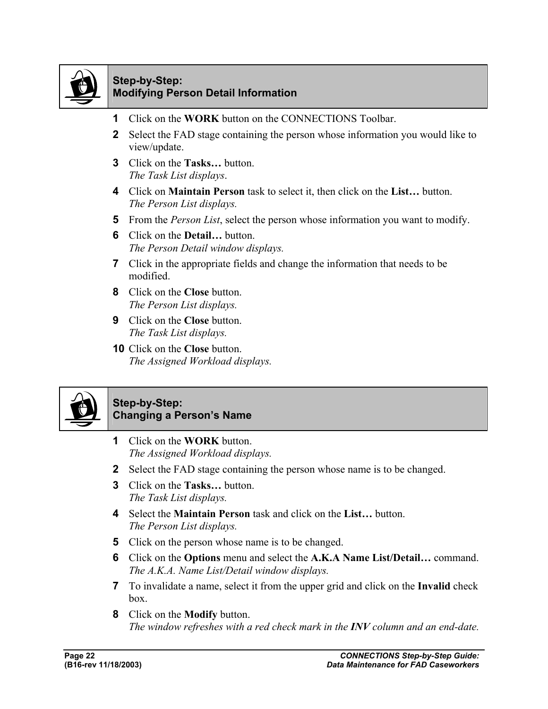

#### **Step-by-Step: Modifying Person Detail Information**

- **1** Click on the **WORK** button on the CONNECTIONS Toolbar.
- **2** Select the FAD stage containing the person whose information you would like to view/update.
- **3** Click on the **Tasks…** button. *The Task List displays*.
- **4** Click on **Maintain Person** task to select it, then click on the **List…** button. *The Person List displays.*
- **5** From the *Person List*, select the person whose information you want to modify.
- **6** Click on the **Detail…** button. *The Person Detail window displays.*
- **7** Click in the appropriate fields and change the information that needs to be modified.
- **8** Click on the **Close** button. *The Person List displays.*
- **9** Click on the **Close** button. *The Task List displays.*
- **10** Click on the **Close** button. *The Assigned Workload displays.*



#### **Step-by-Step: Changing a Person's Name**

- **1** Click on the **WORK** button. *The Assigned Workload displays.*
- **2** Select the FAD stage containing the person whose name is to be changed.
- **3** Click on the **Tasks…** button. *The Task List displays.*
- **4** Select the **Maintain Person** task and click on the **List…** button. *The Person List displays.*
- **5** Click on the person whose name is to be changed.
- **6** Click on the **Options** menu and select the **A.K.A Name List/Detail…** command. *The A.K.A. Name List/Detail window displays.*
- **7** To invalidate a name, select it from the upper grid and click on the **Invalid** check box.
- **8** Click on the **Modify** button. *The window refreshes with a red check mark in the INV column and an end-date.*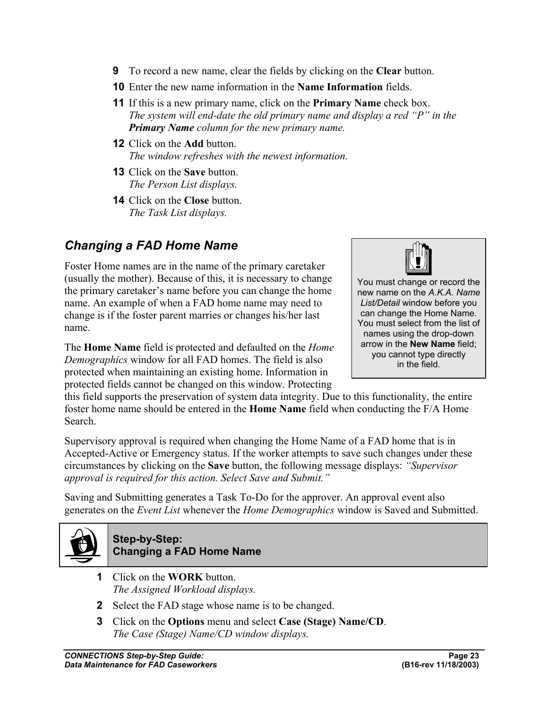- **9** To record a new name, clear the fields by clicking on the **Clear** button.
- **10** Enter the new name information in the **Name Information** fields.
- **11** If this is a new primary name, click on the **Primary Name** check box. *The system will end-date the old primary name and display a red "P" in the Primary Name column for the new primary name.*
- **12** Click on the **Add** button. *The window refreshes with the newest information.*
- **13** Click on the **Save** button. *The Person List displays.*
- **14** Click on the **Close** button. *The Task List displays.*

## *Changing a FAD Home Name*

Foster Home names are in the name of the primary caretaker (usually the mother). Because of this, it is necessary to change the primary caretaker's name before you can change the home name. An example of when a FAD home name may need to change is if the foster parent marries or changes his/her last name.

The **Home Name** field is protected and defaulted on the *Home Demographics* window for all FAD homes. The field is also protected when maintaining an existing home. Information in protected fields cannot be changed on this window. Protecting



You must change or record the new name on the *A.K.A. Name List/Detail* window before you can change the Home Name. You must select from the list of names using the drop-down arrow in the **New Name** field; you cannot type directly in the field.

this field supports the preservation of system data integrity. Due to this functionality, the entire foster home name should be entered in the **Home Name** field when conducting the F/A Home Search.

Supervisory approval is required when changing the Home Name of a FAD home that is in Accepted-Active or Emergency status. If the worker attempts to save such changes under these circumstances by clicking on the **Save** button, the following message displays: *"Supervisor approval is required for this action. Select Save and Submit."*

Saving and Submitting generates a Task To-Do for the approver. An approval event also generates on the *Event List* whenever the *Home Demographics* window is Saved and Submitted.



#### **Step-by-Step: Changing a FAD Home Name**

- **1** Click on the **WORK** button. *The Assigned Workload displays.*
- **2** Select the FAD stage whose name is to be changed.
- **3** Click on the **Options** menu and select **Case (Stage) Name/CD**. *The Case (Stage) Name/CD window displays.*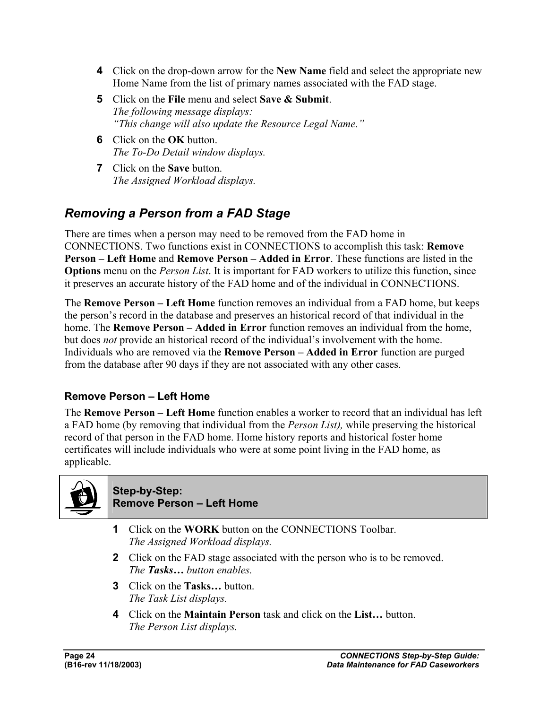- **4** Click on the drop-down arrow for the **New Name** field and select the appropriate new Home Name from the list of primary names associated with the FAD stage.
- **5** Click on the **File** menu and select **Save & Submit**. *The following message displays: "This change will also update the Resource Legal Name."*
- **6** Click on the **OK** button. *The To-Do Detail window displays.*
- **7** Click on the **Save** button. *The Assigned Workload displays.*

## *Removing a Person from a FAD Stage*

There are times when a person may need to be removed from the FAD home in CONNECTIONS. Two functions exist in CONNECTIONS to accomplish this task: **Remove Person – Left Home** and **Remove Person – Added in Error**. These functions are listed in the **Options** menu on the *Person List*. It is important for FAD workers to utilize this function, since it preserves an accurate history of the FAD home and of the individual in CONNECTIONS.

The **Remove Person – Left Home** function removes an individual from a FAD home, but keeps the person's record in the database and preserves an historical record of that individual in the home. The **Remove Person – Added in Error** function removes an individual from the home, but does *not* provide an historical record of the individual's involvement with the home. Individuals who are removed via the **Remove Person – Added in Error** function are purged from the database after 90 days if they are not associated with any other cases.

#### **Remove Person – Left Home**

The **Remove Person – Left Home** function enables a worker to record that an individual has left a FAD home (by removing that individual from the *Person List),* while preserving the historical record of that person in the FAD home. Home history reports and historical foster home certificates will include individuals who were at some point living in the FAD home, as applicable.



#### **Step-by-Step: Remove Person – Left Home**

- **1** Click on the **WORK** button on the CONNECTIONS Toolbar. *The Assigned Workload displays.*
- **2** Click on the FAD stage associated with the person who is to be removed. *The Tasks… button enables.*
- **3** Click on the **Tasks…** button. *The Task List displays.*
- **4** Click on the **Maintain Person** task and click on the **List…** button. *The Person List displays.*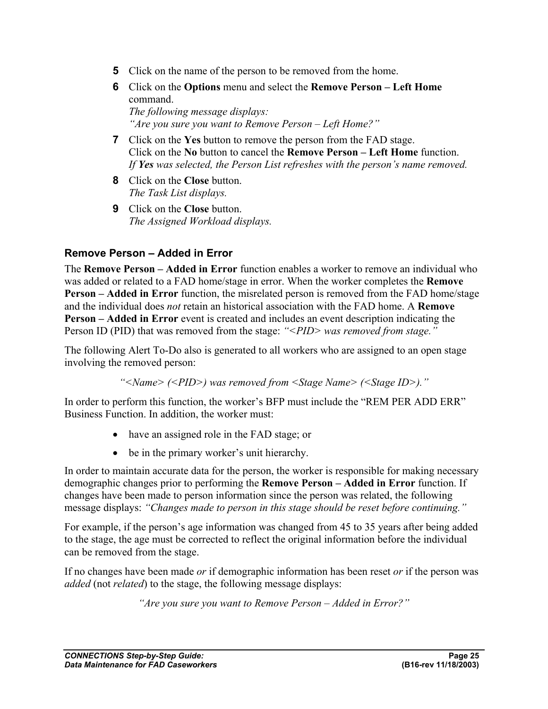- **5** Click on the name of the person to be removed from the home.
- **6** Click on the **Options** menu and select the **Remove Person Left Home** command. *The following message displays: "Are you sure you want to Remove Person – Left Home?"*
- **7** Click on the **Yes** button to remove the person from the FAD stage. Click on the **No** button to cancel the **Remove Person – Left Home** function. *If Yes was selected, the Person List refreshes with the person's name removed.*
- **8** Click on the **Close** button. *The Task List displays.*
- **9** Click on the **Close** button. *The Assigned Workload displays.*

#### **Remove Person – Added in Error**

The **Remove Person – Added in Error** function enables a worker to remove an individual who was added or related to a FAD home/stage in error. When the worker completes the **Remove Person – Added in Error** function, the misrelated person is removed from the FAD home/stage and the individual does *not* retain an historical association with the FAD home. A **Remove Person – Added in Error** event is created and includes an event description indicating the Person ID (PID) that was removed from the stage: *"<PID> was removed from stage."*

The following Alert To-Do also is generated to all workers who are assigned to an open stage involving the removed person:

*"<Name> (<PID>) was removed from <Stage Name> (<Stage ID>)."*

In order to perform this function, the worker's BFP must include the "REM PER ADD ERR" Business Function. In addition, the worker must:

- have an assigned role in the FAD stage; or
- be in the primary worker's unit hierarchy.

In order to maintain accurate data for the person, the worker is responsible for making necessary demographic changes prior to performing the **Remove Person – Added in Error** function. If changes have been made to person information since the person was related, the following message displays: *"Changes made to person in this stage should be reset before continuing."*

For example, if the person's age information was changed from 45 to 35 years after being added to the stage, the age must be corrected to reflect the original information before the individual can be removed from the stage.

If no changes have been made *or* if demographic information has been reset *or* if the person was *added* (not *related*) to the stage, the following message displays:

*"Are you sure you want to Remove Person – Added in Error?"*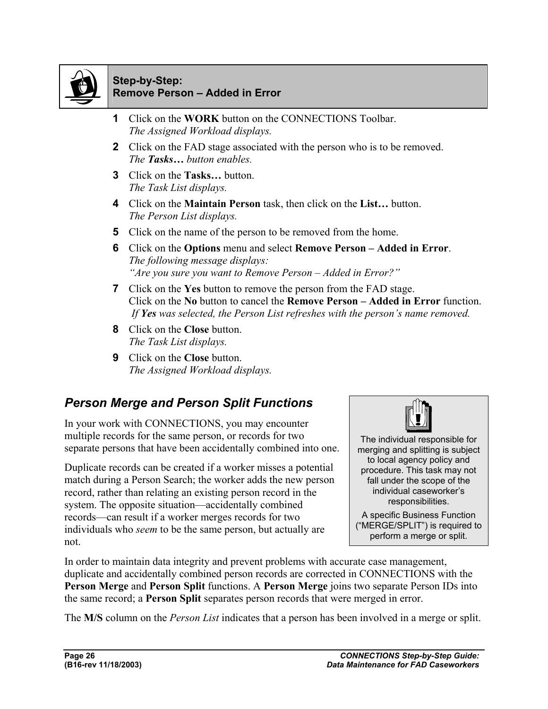

#### **Step-by-Step: Remove Person – Added in Error**

- **1** Click on the **WORK** button on the CONNECTIONS Toolbar. *The Assigned Workload displays.*
- **2** Click on the FAD stage associated with the person who is to be removed. *The Tasks… button enables.*
- **3** Click on the **Tasks…** button. *The Task List displays.*
- **4** Click on the **Maintain Person** task, then click on the **List…** button. *The Person List displays.*
- **5** Click on the name of the person to be removed from the home.
- **6** Click on the **Options** menu and select **Remove Person Added in Error**. *The following message displays: "Are you sure you want to Remove Person – Added in Error?"*
- **7** Click on the **Yes** button to remove the person from the FAD stage. Click on the **No** button to cancel the **Remove Person – Added in Error** function.  *If Yes was selected, the Person List refreshes with the person's name removed.*
- **8** Click on the **Close** button. *The Task List displays.*
- **9** Click on the **Close** button. *The Assigned Workload displays.*

## *Person Merge and Person Split Functions*

In your work with CONNECTIONS, you may encounter multiple records for the same person, or records for two separate persons that have been accidentally combined into one.

Duplicate records can be created if a worker misses a potential match during a Person Search; the worker adds the new person record, rather than relating an existing person record in the system. The opposite situation—accidentally combined records—can result if a worker merges records for two individuals who *seem* to be the same person, but actually are not.



The individual responsible for merging and splitting is subject to local agency policy and procedure. This task may not fall under the scope of the individual caseworker's responsibilities.

A specific Business Function ("MERGE/SPLIT") is required to perform a merge or split.

In order to maintain data integrity and prevent problems with accurate case management, duplicate and accidentally combined person records are corrected in CONNECTIONS with the **Person Merge** and **Person Split** functions. A **Person Merge** joins two separate Person IDs into the same record; a **Person Split** separates person records that were merged in error.

The **M/S** column on the *Person List* indicates that a person has been involved in a merge or split.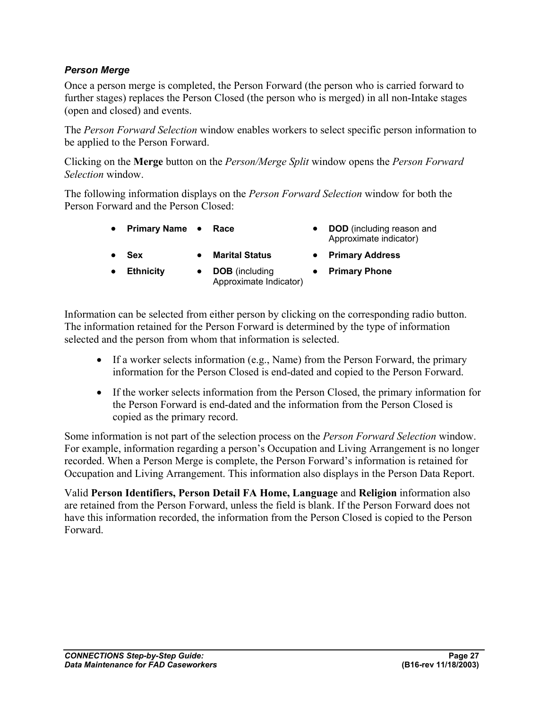#### *Person Merge*

Once a person merge is completed, the Person Forward (the person who is carried forward to further stages) replaces the Person Closed (the person who is merged) in all non-Intake stages (open and closed) and events.

The *Person Forward Selection* window enables workers to select specific person information to be applied to the Person Forward.

Clicking on the **Merge** button on the *Person/Merge Split* window opens the *Person Forward Selection* window.

The following information displays on the *Person Forward Selection* window for both the Person Forward and the Person Closed:

- **Primary Name Race DOD** (including reason and
	- Approximate indicator)

- 
- 
- **Sex Marital Status Primary Address**
- **Ethnicity DOB** (including
	- Approximate Indicator)
- **Primary Phone**

Information can be selected from either person by clicking on the corresponding radio button. The information retained for the Person Forward is determined by the type of information selected and the person from whom that information is selected.

- If a worker selects information (e.g., Name) from the Person Forward, the primary information for the Person Closed is end-dated and copied to the Person Forward.
- If the worker selects information from the Person Closed, the primary information for the Person Forward is end-dated and the information from the Person Closed is copied as the primary record.

Some information is not part of the selection process on the *Person Forward Selection* window. For example, information regarding a person's Occupation and Living Arrangement is no longer recorded. When a Person Merge is complete, the Person Forward's information is retained for Occupation and Living Arrangement. This information also displays in the Person Data Report.

Valid **Person Identifiers, Person Detail FA Home, Language** and **Religion** information also are retained from the Person Forward, unless the field is blank. If the Person Forward does not have this information recorded, the information from the Person Closed is copied to the Person Forward.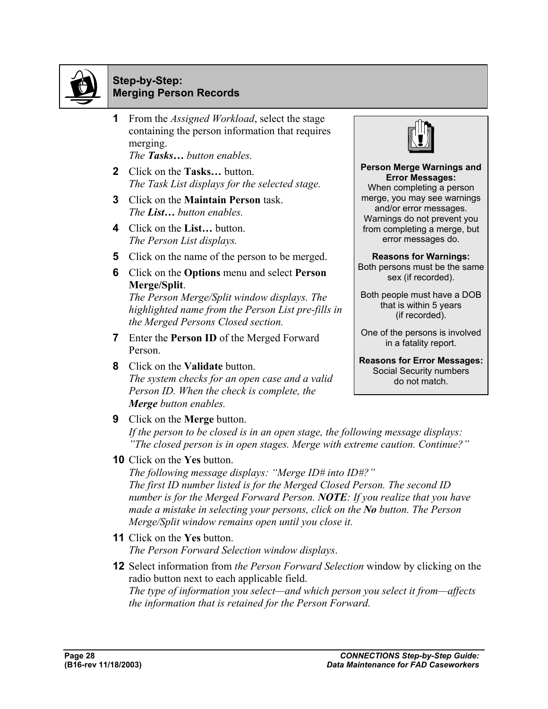

#### **Step-by-Step: Merging Person Records**

- **1** From the *Assigned Workload*, select the stage containing the person information that requires merging. *The Tasks… button enables.*
- **2** Click on the **Tasks…** button. *The Task List displays for the selected stage.*
- **3** Click on the **Maintain Person** task. *The List… button enables.*
- **4** Click on the **List…** button. *The Person List displays.*
- **5** Click on the name of the person to be merged.
- **6** Click on the **Options** menu and select **Person Merge/Split**.

*The Person Merge/Split window displays. The highlighted name from the Person List pre-fills in the Merged Persons Closed section.*

- **7** Enter the **Person ID** of the Merged Forward Person.
- **8** Click on the **Validate** button. *The system checks for an open case and a valid Person ID. When the check is complete, the Merge button enables.*



#### **Person Merge Warnings and Error Messages:**

When completing a person merge, you may see warnings and/or error messages. Warnings do not prevent you from completing a merge, but error messages do.

**Reasons for Warnings:**  Both persons must be the same sex (if recorded).

Both people must have a DOB that is within 5 years (if recorded).

One of the persons is involved in a fatality report.

**Reasons for Error Messages:** Social Security numbers do not match.

**9** Click on the **Merge** button.

*If the person to be closed is in an open stage, the following message displays: "The closed person is in open stages. Merge with extreme caution. Continue?"* 

**10** Click on the **Yes** button.

*The following message displays: "Merge ID# into ID#?" The first ID number listed is for the Merged Closed Person. The second ID number is for the Merged Forward Person. NOTE: If you realize that you have made a mistake in selecting your persons, click on the No button. The Person Merge/Split window remains open until you close it.*

- **11** Click on the **Yes** button. *The Person Forward Selection window displays*.
- **12** Select information from *the Person Forward Selection* window by clicking on the radio button next to each applicable field. *The type of information you select—and which person you select it from—affects the information that is retained for the Person Forward.*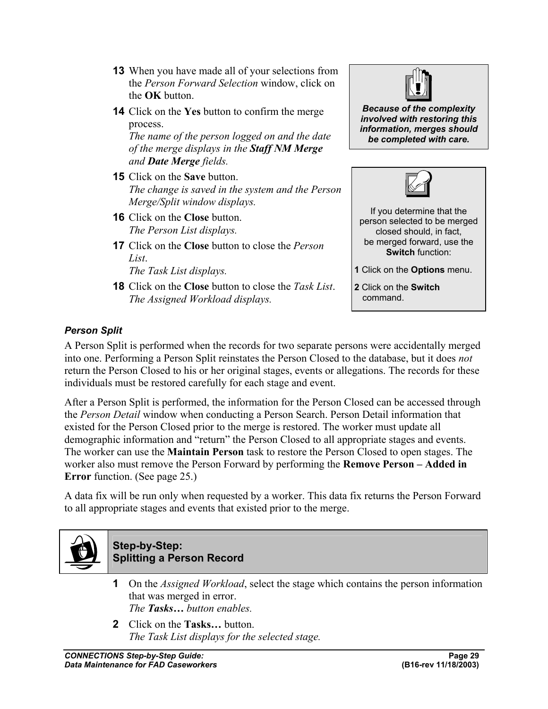- **13** When you have made all of your selections from the *Person Forward Selection* window, click on the **OK** button.
- **14** Click on the **Yes** button to confirm the merge process.

*The name of the person logged on and the date of the merge displays in the Staff NM Merge and Date Merge fields.* 

- **15** Click on the **Save** button. *The change is saved in the system and the Person Merge/Split window displays.*
- **16** Click on the **Close** button. *The Person List displays.*
- **17** Click on the **Close** button to close the *Person List*.

*The Task List displays.* 

**18** Click on the **Close** button to close the *Task List*. *The Assigned Workload displays.* 



*Because of the complexity involved with restoring this information, merges should be completed with care.* 



If you determine that the person selected to be merged closed should, in fact, be merged forward, use the **Switch** function:

**1** Click on the **Options** menu.

**2** Click on the **Switch** command.

#### *Person Split*

A Person Split is performed when the records for two separate persons were accidentally merged into one. Performing a Person Split reinstates the Person Closed to the database, but it does *not* return the Person Closed to his or her original stages, events or allegations. The records for these individuals must be restored carefully for each stage and event.

After a Person Split is performed, the information for the Person Closed can be accessed through the *Person Detail* window when conducting a Person Search. Person Detail information that existed for the Person Closed prior to the merge is restored. The worker must update all demographic information and "return" the Person Closed to all appropriate stages and events. The worker can use the **Maintain Person** task to restore the Person Closed to open stages. The worker also must remove the Person Forward by performing the **Remove Person – Added in Error** function. (See page 25.)

A data fix will be run only when requested by a worker. This data fix returns the Person Forward to all appropriate stages and events that existed prior to the merge.



#### **Step-by-Step: Splitting a Person Record**

- **1** On the *Assigned Workload*, select the stage which contains the person information that was merged in error. *The Tasks… button enables.*
- **2** Click on the **Tasks…** button. *The Task List displays for the selected stage.*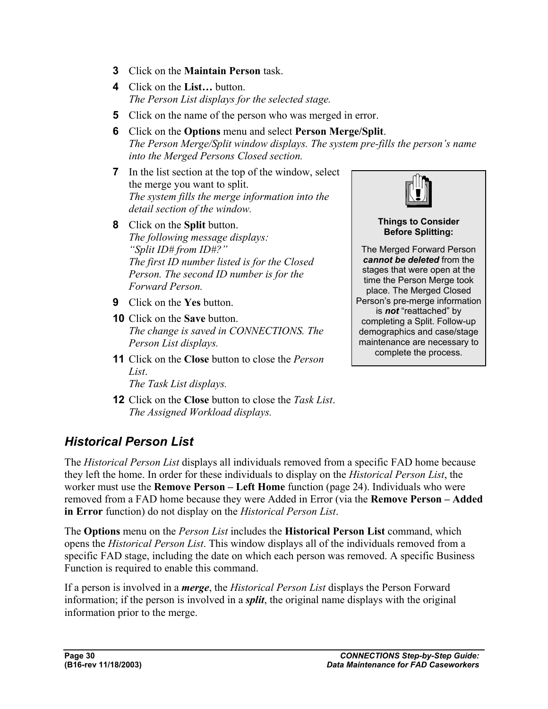- **3** Click on the **Maintain Person** task.
- **4** Click on the **List…** button. *The Person List displays for the selected stage.*
- **5** Click on the name of the person who was merged in error.
- **6** Click on the **Options** menu and select **Person Merge/Split**. *The Person Merge/Split window displays. The system pre-fills the person's name into the Merged Persons Closed section.*
- **7** In the list section at the top of the window, select the merge you want to split. *The system fills the merge information into the detail section of the window.*
- **8** Click on the **Split** button. *The following message displays: "Split ID# from ID#?" The first ID number listed is for the Closed Person. The second ID number is for the Forward Person.*
- **9** Click on the **Yes** button.
- **10** Click on the **Save** button. *The change is saved in CONNECTIONS. The Person List displays.*
- **11** Click on the **Close** button to close the *Person List*. *The Task List displays.*

**12** Click on the **Close** button to close the *Task List*.

*The Assigned Workload displays.* 



**Things to Consider Before Splitting:** 

The Merged Forward Person *cannot be deleted* from the stages that were open at the time the Person Merge took place. The Merged Closed Person's pre-merge information is *not* "reattached" by completing a Split. Follow-up demographics and case/stage maintenance are necessary to complete the process.

## *Historical Person List*

The *Historical Person List* displays all individuals removed from a specific FAD home because they left the home. In order for these individuals to display on the *Historical Person List*, the worker must use the **Remove Person – Left Home** function (page 24). Individuals who were removed from a FAD home because they were Added in Error (via the **Remove Person – Added in Error** function) do not display on the *Historical Person List*.

The **Options** menu on the *Person List* includes the **Historical Person List** command, which opens the *Historical Person List*. This window displays all of the individuals removed from a specific FAD stage, including the date on which each person was removed. A specific Business Function is required to enable this command.

If a person is involved in a *merge*, the *Historical Person List* displays the Person Forward information; if the person is involved in a *split*, the original name displays with the original information prior to the merge.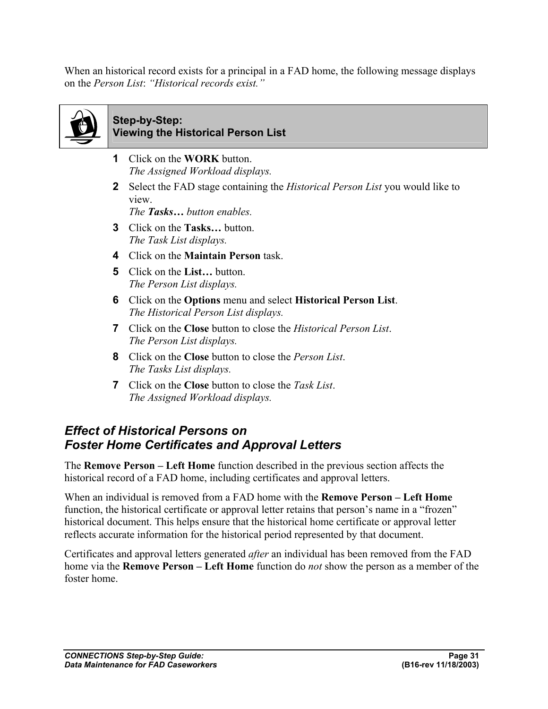When an historical record exists for a principal in a FAD home, the following message displays on the *Person List*: *"Historical records exist."* 



#### **Step-by-Step: Viewing the Historical Person List**

- **1** Click on the **WORK** button. *The Assigned Workload displays.*
- **2** Select the FAD stage containing the *Historical Person List* you would like to view.

*The Tasks… button enables.* 

- **3** Click on the **Tasks…** button. *The Task List displays.*
- **4** Click on the **Maintain Person** task.
- **5** Click on the **List…** button. *The Person List displays.*
- **6** Click on the **Options** menu and select **Historical Person List**. *The Historical Person List displays.*
- **7** Click on the **Close** button to close the *Historical Person List*. *The Person List displays.*
- **8** Click on the **Close** button to close the *Person List*. *The Tasks List displays.*
- **7** Click on the **Close** button to close the *Task List*. *The Assigned Workload displays.*

## *Effect of Historical Persons on Foster Home Certificates and Approval Letters*

The **Remove Person – Left Home** function described in the previous section affects the historical record of a FAD home, including certificates and approval letters.

When an individual is removed from a FAD home with the **Remove Person – Left Home** function, the historical certificate or approval letter retains that person's name in a "frozen" historical document. This helps ensure that the historical home certificate or approval letter reflects accurate information for the historical period represented by that document.

Certificates and approval letters generated *after* an individual has been removed from the FAD home via the **Remove Person – Left Home** function do *not* show the person as a member of the foster home.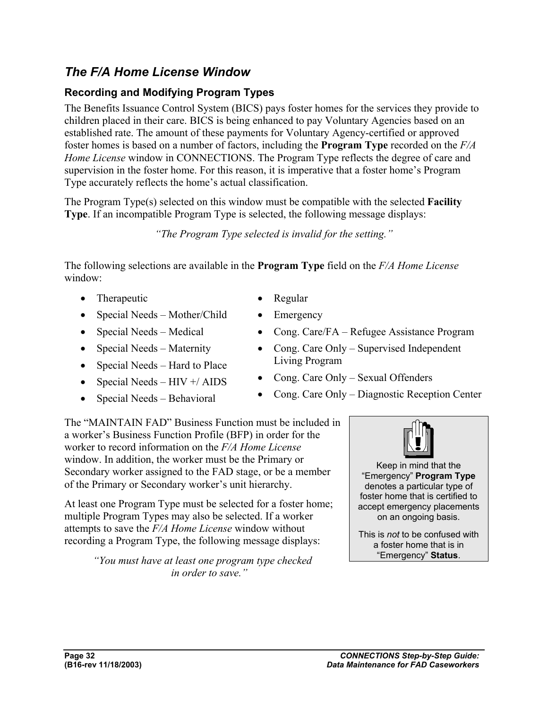## *The F/A Home License Window*

#### **Recording and Modifying Program Types**

The Benefits Issuance Control System (BICS) pays foster homes for the services they provide to children placed in their care. BICS is being enhanced to pay Voluntary Agencies based on an established rate. The amount of these payments for Voluntary Agency-certified or approved foster homes is based on a number of factors, including the **Program Type** recorded on the *F/A Home License* window in CONNECTIONS. The Program Type reflects the degree of care and supervision in the foster home. For this reason, it is imperative that a foster home's Program Type accurately reflects the home's actual classification.

The Program Type(s) selected on this window must be compatible with the selected **Facility Type**. If an incompatible Program Type is selected, the following message displays:

*"The Program Type selected is invalid for the setting."* 

The following selections are available in the **Program Type** field on the *F/A Home License*  window:

- Therapeutic
- Special Needs Mother/Child
- Special Needs Medical
- Special Needs Maternity
- Special Needs Hard to Place
- Special Needs  $HIV + / AIDS$
- Special Needs Behavioral
- Regular
- Emergency
- Cong. Care/FA Refugee Assistance Program
- Cong. Care Only Supervised Independent Living Program
- Cong. Care Only Sexual Offenders
- Cong. Care Only Diagnostic Reception Center

The "MAINTAIN FAD" Business Function must be included in a worker's Business Function Profile (BFP) in order for the worker to record information on the *F/A Home License*  window. In addition, the worker must be the Primary or Secondary worker assigned to the FAD stage, or be a member of the Primary or Secondary worker's unit hierarchy.

At least one Program Type must be selected for a foster home; multiple Program Types may also be selected. If a worker attempts to save the *F/A Home License* window without recording a Program Type, the following message displays:

> *"You must have at least one program type checked in order to save."*



This is *not* to be confused with a foster home that is in "Emergency" **Status**.

on an ongoing basis.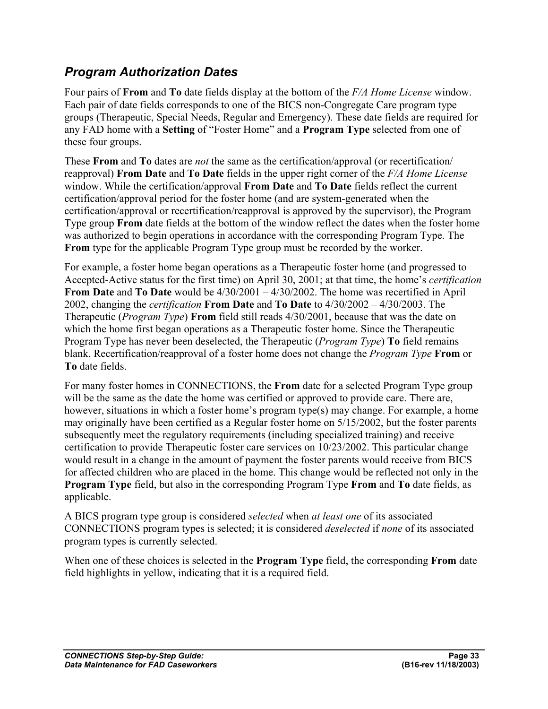## *Program Authorization Dates*

Four pairs of **From** and **To** date fields display at the bottom of the *F/A Home License* window. Each pair of date fields corresponds to one of the BICS non-Congregate Care program type groups (Therapeutic, Special Needs, Regular and Emergency). These date fields are required for any FAD home with a **Setting** of "Foster Home" and a **Program Type** selected from one of these four groups.

These **From** and **To** dates are *not* the same as the certification/approval (or recertification/ reapproval) **From Date** and **To Date** fields in the upper right corner of the *F/A Home License*  window. While the certification/approval **From Date** and **To Date** fields reflect the current certification/approval period for the foster home (and are system-generated when the certification/approval or recertification/reapproval is approved by the supervisor), the Program Type group **From** date fields at the bottom of the window reflect the dates when the foster home was authorized to begin operations in accordance with the corresponding Program Type. The **From** type for the applicable Program Type group must be recorded by the worker.

For example, a foster home began operations as a Therapeutic foster home (and progressed to Accepted-Active status for the first time) on April 30, 2001; at that time, the home's *certification* **From Date** and **To Date** would be 4/30/2001 – 4/30/2002. The home was recertified in April 2002, changing the *certification* **From Date** and **To Date** to 4/30/2002 – 4/30/2003. The Therapeutic (*Program Type*) **From** field still reads 4/30/2001, because that was the date on which the home first began operations as a Therapeutic foster home. Since the Therapeutic Program Type has never been deselected, the Therapeutic (*Program Type*) **To** field remains blank. Recertification/reapproval of a foster home does not change the *Program Type* **From** or **To** date fields.

For many foster homes in CONNECTIONS, the **From** date for a selected Program Type group will be the same as the date the home was certified or approved to provide care. There are, however, situations in which a foster home's program type(s) may change. For example, a home may originally have been certified as a Regular foster home on 5/15/2002, but the foster parents subsequently meet the regulatory requirements (including specialized training) and receive certification to provide Therapeutic foster care services on 10/23/2002. This particular change would result in a change in the amount of payment the foster parents would receive from BICS for affected children who are placed in the home. This change would be reflected not only in the **Program Type** field, but also in the corresponding Program Type **From** and **To** date fields, as applicable.

A BICS program type group is considered *selected* when *at least one* of its associated CONNECTIONS program types is selected; it is considered *deselected* if *none* of its associated program types is currently selected.

When one of these choices is selected in the **Program Type** field, the corresponding **From** date field highlights in yellow, indicating that it is a required field.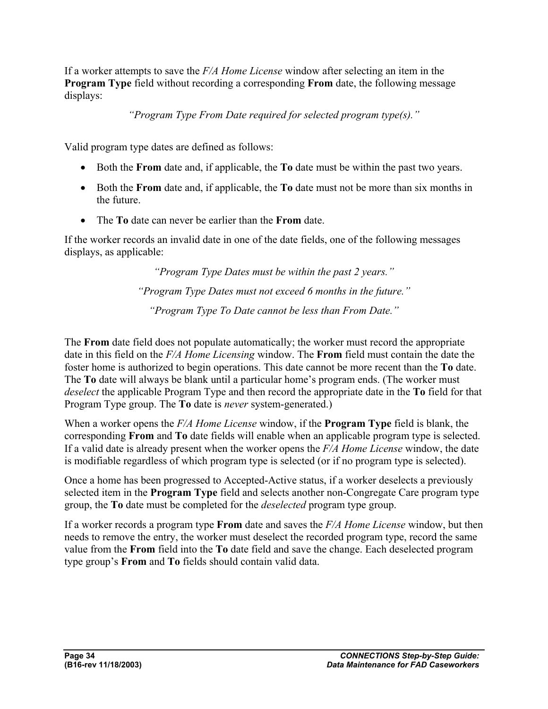If a worker attempts to save the *F/A Home License* window after selecting an item in the **Program Type** field without recording a corresponding **From** date, the following message displays:

*"Program Type From Date required for selected program type(s)."* 

Valid program type dates are defined as follows:

- Both the **From** date and, if applicable, the **To** date must be within the past two years.
- Both the **From** date and, if applicable, the **To** date must not be more than six months in the future.
- The **To** date can never be earlier than the **From** date.

If the worker records an invalid date in one of the date fields, one of the following messages displays, as applicable:

> *"Program Type Dates must be within the past 2 years." "Program Type Dates must not exceed 6 months in the future." "Program Type To Date cannot be less than From Date."*

The **From** date field does not populate automatically; the worker must record the appropriate date in this field on the *F/A Home Licensing* window. The **From** field must contain the date the foster home is authorized to begin operations. This date cannot be more recent than the **To** date. The **To** date will always be blank until a particular home's program ends. (The worker must *deselect* the applicable Program Type and then record the appropriate date in the **To** field for that Program Type group. The **To** date is *never* system-generated.)

When a worker opens the *F/A Home License* window, if the **Program Type** field is blank, the corresponding **From** and **To** date fields will enable when an applicable program type is selected. If a valid date is already present when the worker opens the *F/A Home License* window, the date is modifiable regardless of which program type is selected (or if no program type is selected).

Once a home has been progressed to Accepted-Active status, if a worker deselects a previously selected item in the **Program Type** field and selects another non-Congregate Care program type group, the **To** date must be completed for the *deselected* program type group.

If a worker records a program type **From** date and saves the *F/A Home License* window, but then needs to remove the entry, the worker must deselect the recorded program type, record the same value from the **From** field into the **To** date field and save the change. Each deselected program type group's **From** and **To** fields should contain valid data.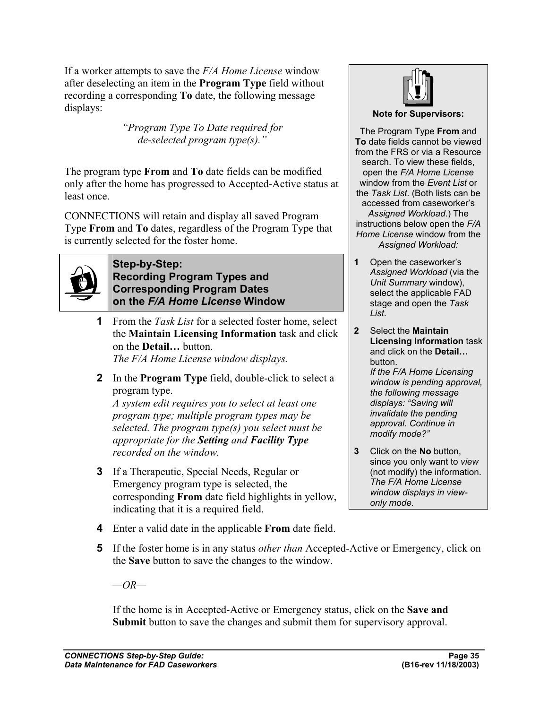If a worker attempts to save the *F/A Home License* window after deselecting an item in the **Program Type** field without recording a corresponding **To** date, the following message displays:

> *"Program Type To Date required for de-selected program type(s)."*

The program type **From** and **To** date fields can be modified only after the home has progressed to Accepted-Active status at least once.

CONNECTIONS will retain and display all saved Program Type **From** and **To** dates, regardless of the Program Type that is currently selected for the foster home.



#### **Step-by-Step: Recording Program Types and Corresponding Program Dates on the** *F/A Home License* **Window**

**1** From the *Task List* for a selected foster home, select the **Maintain Licensing Information** task and click on the **Detail…** button.

*The F/A Home License window displays.*

**2** In the **Program Type** field, double-click to select a program type.

*A system edit requires you to select at least one program type; multiple program types may be selected. The program type(s) you select must be appropriate for the Setting and Facility Type recorded on the window.*

**3** If a Therapeutic, Special Needs, Regular or Emergency program type is selected, the corresponding **From** date field highlights in yellow, indicating that it is a required field.



#### **Note for Supervisors:**

The Program Type **From** and **To** date fields cannot be viewed from the FRS or via a Resource search. To view these fields, open the *F/A Home License*  window from the *Event List* or the *Task List*. (Both lists can be accessed from caseworker's *Assigned Workload*.) The instructions below open the *F/A Home License* window from the *Assigned Workload:* 

- **1** Open the caseworker's *Assigned Workload* (via the *Unit Summary* window), select the applicable FAD stage and open the *Task List*.
- **2** Select the **Maintain Licensing Information** task and click on the **Detail…** button. *If the F/A Home Licensing window is pending approval, the following message displays: "Saving will invalidate the pending approval. Continue in modify mode?"*
- **3** Click on the **No** button, since you only want to *view*  (not modify) the information. *The F/A Home License window displays in viewonly mode.*
- **4** Enter a valid date in the applicable **From** date field.
- **5** If the foster home is in any status *other than* Accepted-Active or Emergency, click on the **Save** button to save the changes to the window.

*—OR—*

If the home is in Accepted-Active or Emergency status, click on the **Save and Submit** button to save the changes and submit them for supervisory approval.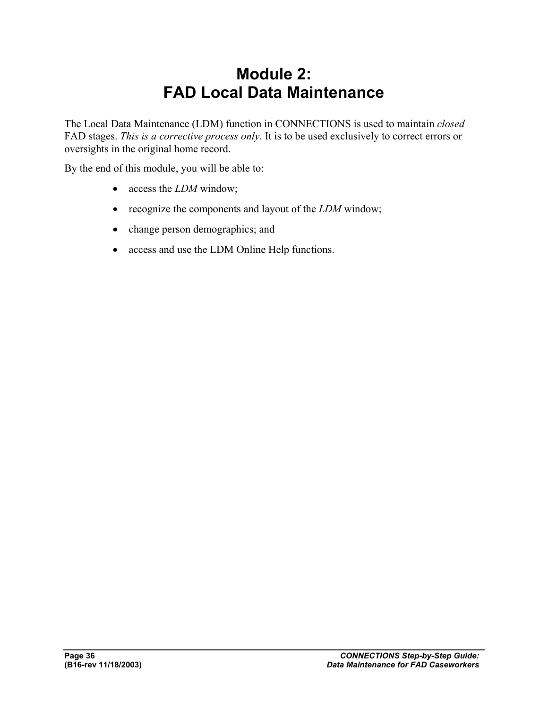## **Module 2: FAD Local Data Maintenance**

The Local Data Maintenance (LDM) function in CONNECTIONS is used to maintain *closed* FAD stages. *This is a corrective process only*. It is to be used exclusively to correct errors or oversights in the original home record.

By the end of this module, you will be able to:

- access the *LDM* window;
- recognize the components and layout of the *LDM* window;
- change person demographics; and
- access and use the LDM Online Help functions.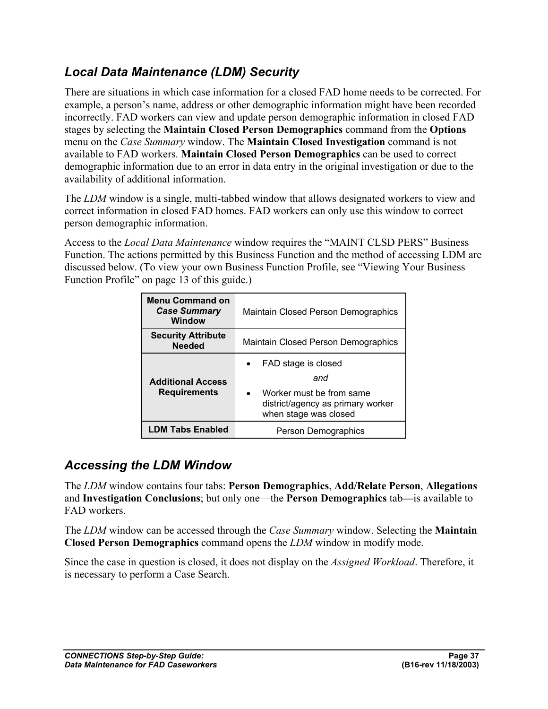## *Local Data Maintenance (LDM) Security*

There are situations in which case information for a closed FAD home needs to be corrected. For example, a person's name, address or other demographic information might have been recorded incorrectly. FAD workers can view and update person demographic information in closed FAD stages by selecting the **Maintain Closed Person Demographics** command from the **Options** menu on the *Case Summary* window. The **Maintain Closed Investigation** command is not available to FAD workers. **Maintain Closed Person Demographics** can be used to correct demographic information due to an error in data entry in the original investigation or due to the availability of additional information.

The *LDM* window is a single, multi-tabbed window that allows designated workers to view and correct information in closed FAD homes. FAD workers can only use this window to correct person demographic information.

Access to the *Local Data Maintenance* window requires the "MAINT CLSD PERS" Business Function. The actions permitted by this Business Function and the method of accessing LDM are discussed below. (To view your own Business Function Profile, see "Viewing Your Business Function Profile" on page 13 of this guide.)

| <b>Menu Command on</b><br><b>Case Summary</b><br>Window | Maintain Closed Person Demographics                                                                                               |  |
|---------------------------------------------------------|-----------------------------------------------------------------------------------------------------------------------------------|--|
| <b>Security Attribute</b><br><b>Needed</b>              | Maintain Closed Person Demographics                                                                                               |  |
| <b>Additional Access</b><br><b>Requirements</b>         | FAD stage is closed<br>and<br>Worker must be from same<br>$\bullet$<br>district/agency as primary worker<br>when stage was closed |  |
| <b>LDM Tabs Enabled</b>                                 | Person Demographics                                                                                                               |  |

## *Accessing the LDM Window*

The *LDM* window contains four tabs: **Person Demographics**, **Add/Relate Person**, **Allegations** and **Investigation Conclusions**; but only one—the **Person Demographics** tab**—**is available to FAD workers.

The *LDM* window can be accessed through the *Case Summary* window. Selecting the **Maintain Closed Person Demographics** command opens the *LDM* window in modify mode.

Since the case in question is closed, it does not display on the *Assigned Workload*. Therefore, it is necessary to perform a Case Search.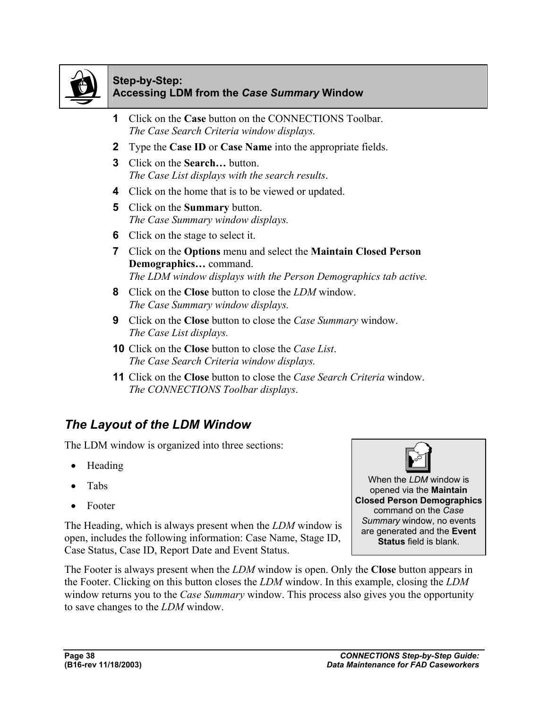

#### **Step-by-Step: Accessing LDM from the** *Case Summary* **Window**

- **1** Click on the **Case** button on the CONNECTIONS Toolbar. *The Case Search Criteria window displays.*
- **2** Type the **Case ID** or **Case Name** into the appropriate fields.
- **3** Click on the **Search…** button. *The Case List displays with the search results*.
- **4** Click on the home that is to be viewed or updated.
- **5** Click on the **Summary** button. *The Case Summary window displays.*
- **6** Click on the stage to select it.
- **7** Click on the **Options** menu and select the **Maintain Closed Person Demographics…** command. *The LDM window displays with the Person Demographics tab active.*
- **8** Click on the **Close** button to close the *LDM* window. *The Case Summary window displays.*
- **9** Click on the **Close** button to close the *Case Summary* window. *The Case List displays.*
- **10** Click on the **Close** button to close the *Case List*. *The Case Search Criteria window displays.*
- **11** Click on the **Close** button to close the *Case Search Criteria* window. *The CONNECTIONS Toolbar displays*.

## *The Layout of the LDM Window*

The LDM window is organized into three sections:

- Heading
- Tabs
- Footer

The Heading, which is always present when the *LDM* window is open, includes the following information: Case Name, Stage ID, Case Status, Case ID, Report Date and Event Status.

When the *LDM* window is opened via the **Maintain Closed Person Demographics** command on the *Case Summary* window, no events are generated and the **Event Status** field is blank.

The Footer is always present when the *LDM* window is open. Only the **Close** button appears in the Footer. Clicking on this button closes the *LDM* window. In this example, closing the *LDM*  window returns you to the *Case Summary* window. This process also gives you the opportunity to save changes to the *LDM* window.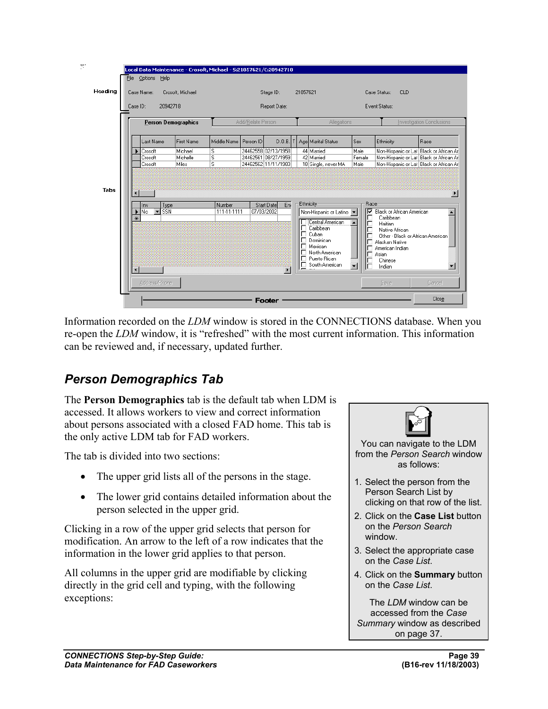

Information recorded on the *LDM* window is stored in the CONNECTIONS database. When you re-open the *LDM* window, it is "refreshed" with the most current information. This information can be reviewed and, if necessary, updated further.

## *Person Demographics Tab*

The **Person Demographics** tab is the default tab when LDM is accessed. It allows workers to view and correct information about persons associated with a closed FAD home. This tab is the only active LDM tab for FAD workers.

The tab is divided into two sections:

- The upper grid lists all of the persons in the stage.
- The lower grid contains detailed information about the person selected in the upper grid.

Clicking in a row of the upper grid selects that person for modification. An arrow to the left of a row indicates that the information in the lower grid applies to that person.

All columns in the upper grid are modifiable by clicking directly in the grid cell and typing, with the following exceptions:

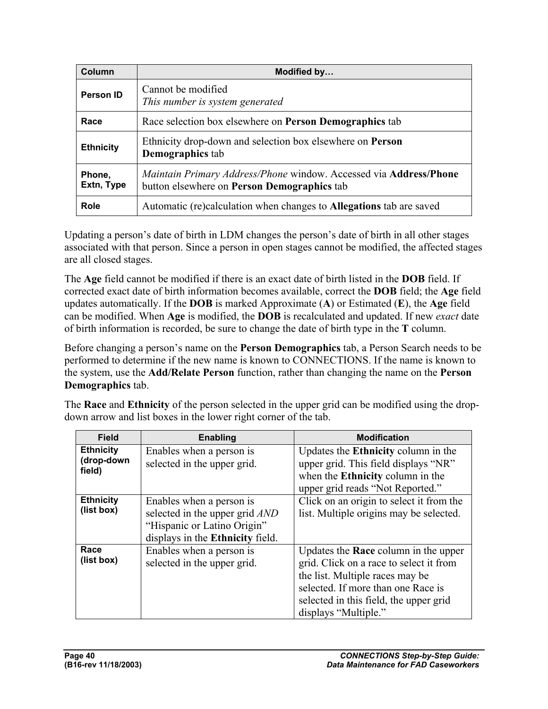| Column               | Modified by                                                                                                             |
|----------------------|-------------------------------------------------------------------------------------------------------------------------|
| Person ID            | Cannot be modified<br>This number is system generated                                                                   |
| Race                 | Race selection box elsewhere on <b>Person Demographics</b> tab                                                          |
| <b>Ethnicity</b>     | Ethnicity drop-down and selection box elsewhere on <b>Person</b><br><b>Demographics</b> tab                             |
| Phone,<br>Extn, Type | Maintain Primary Address/Phone window. Accessed via <b>Address/Phone</b><br>button elsewhere on Person Demographics tab |
| Role                 | Automatic (re)calculation when changes to <b>Allegations</b> tab are saved                                              |

Updating a person's date of birth in LDM changes the person's date of birth in all other stages associated with that person. Since a person in open stages cannot be modified, the affected stages are all closed stages.

The **Age** field cannot be modified if there is an exact date of birth listed in the **DOB** field. If corrected exact date of birth information becomes available, correct the **DOB** field; the **Age** field updates automatically. If the **DOB** is marked Approximate (**A**) or Estimated (**E**), the **Age** field can be modified. When **Age** is modified, the **DOB** is recalculated and updated. If new *exact* date of birth information is recorded, be sure to change the date of birth type in the **T** column.

Before changing a person's name on the **Person Demographics** tab, a Person Search needs to be performed to determine if the new name is known to CONNECTIONS. If the name is known to the system, use the **Add/Relate Person** function, rather than changing the name on the **Person Demographics** tab.

The **Race** and **Ethnicity** of the person selected in the upper grid can be modified using the dropdown arrow and list boxes in the lower right corner of the tab.

| <b>Field</b>                             | Enabling                                                                                                                      | <b>Modification</b>                                                                                                                                                                                                               |
|------------------------------------------|-------------------------------------------------------------------------------------------------------------------------------|-----------------------------------------------------------------------------------------------------------------------------------------------------------------------------------------------------------------------------------|
| <b>Ethnicity</b><br>(drop-down<br>field) | Enables when a person is<br>selected in the upper grid.                                                                       | Updates the <b>Ethnicity</b> column in the<br>upper grid. This field displays "NR"<br>when the <b>Ethnicity</b> column in the<br>upper grid reads "Not Reported."                                                                 |
| <b>Ethnicity</b><br>(list box)           | Enables when a person is<br>selected in the upper grid AND<br>"Hispanic or Latino Origin"<br>displays in the Ethnicity field. | Click on an origin to select it from the<br>list. Multiple origins may be selected.                                                                                                                                               |
| Race<br>(list box)                       | Enables when a person is<br>selected in the upper grid.                                                                       | Updates the <b>Race</b> column in the upper<br>grid. Click on a race to select it from<br>the list. Multiple races may be<br>selected. If more than one Race is<br>selected in this field, the upper grid<br>displays "Multiple." |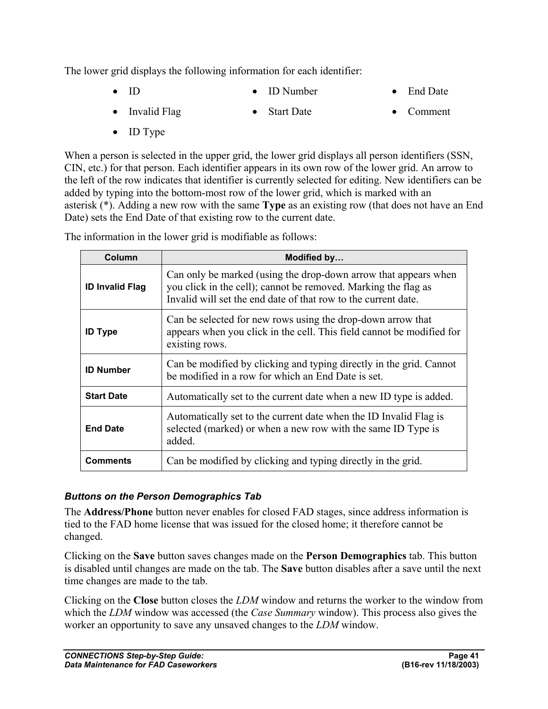The lower grid displays the following information for each identifier:

- ID • ID Number • End Date
- Invalid Flag • Start Date • Comment
- ID Type

When a person is selected in the upper grid, the lower grid displays all person identifiers (SSN, CIN, etc.) for that person. Each identifier appears in its own row of the lower grid. An arrow to the left of the row indicates that identifier is currently selected for editing. New identifiers can be added by typing into the bottom-most row of the lower grid, which is marked with an asterisk (\*). Adding a new row with the same **Type** as an existing row (that does not have an End Date) sets the End Date of that existing row to the current date.

The information in the lower grid is modifiable as follows:

| Column                 | Modified by                                                                                                                                                                                         |
|------------------------|-----------------------------------------------------------------------------------------------------------------------------------------------------------------------------------------------------|
| <b>ID Invalid Flag</b> | Can only be marked (using the drop-down arrow that appears when<br>you click in the cell); cannot be removed. Marking the flag as<br>Invalid will set the end date of that row to the current date. |
| <b>ID Type</b>         | Can be selected for new rows using the drop-down arrow that<br>appears when you click in the cell. This field cannot be modified for<br>existing rows.                                              |
| <b>ID Number</b>       | Can be modified by clicking and typing directly in the grid. Cannot<br>be modified in a row for which an End Date is set.                                                                           |
| <b>Start Date</b>      | Automatically set to the current date when a new ID type is added.                                                                                                                                  |
| <b>End Date</b>        | Automatically set to the current date when the ID Invalid Flag is<br>selected (marked) or when a new row with the same ID Type is<br>added.                                                         |
| Comments               | Can be modified by clicking and typing directly in the grid.                                                                                                                                        |

#### *Buttons on the Person Demographics Tab*

The **Address/Phone** button never enables for closed FAD stages, since address information is tied to the FAD home license that was issued for the closed home; it therefore cannot be changed.

Clicking on the **Save** button saves changes made on the **Person Demographics** tab. This button is disabled until changes are made on the tab. The **Save** button disables after a save until the next time changes are made to the tab.

Clicking on the **Close** button closes the *LDM* window and returns the worker to the window from which the *LDM* window was accessed (the *Case Summary* window). This process also gives the worker an opportunity to save any unsaved changes to the *LDM* window.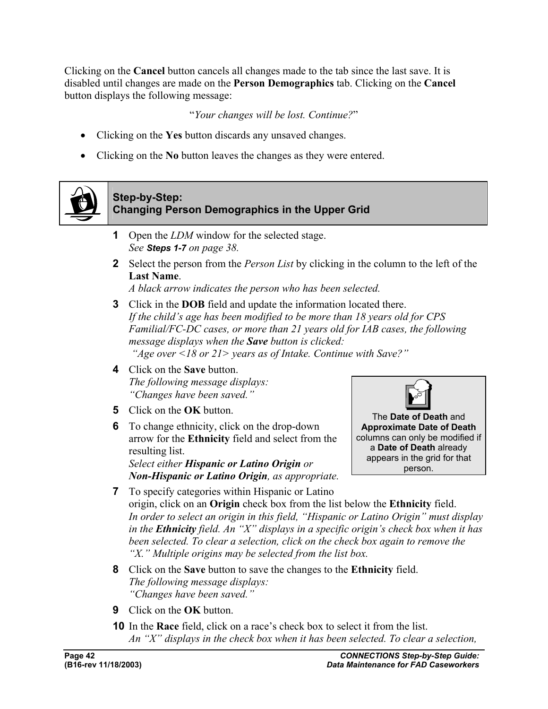Clicking on the **Cancel** button cancels all changes made to the tab since the last save. It is disabled until changes are made on the **Person Demographics** tab. Clicking on the **Cancel** button displays the following message:

"*Your changes will be lost. Continue?*"

- Clicking on the **Yes** button discards any unsaved changes.
- Clicking on the **No** button leaves the changes as they were entered.



#### **Step-by-Step: Changing Person Demographics in the Upper Grid**

- **1** Open the *LDM* window for the selected stage. *See Steps 1-7 on page 38.*
- **2** Select the person from the *Person List* by clicking in the column to the left of the **Last Name**.

*A black arrow indicates the person who has been selected.*

- **3** Click in the **DOB** field and update the information located there. *If the child's age has been modified to be more than 18 years old for CPS Familial/FC-DC cases, or more than 21 years old for IAB cases, the following message displays when the Save button is clicked: "Age over <18 or 21> years as of Intake. Continue with Save?"*
- **4** Click on the **Save** button. *The following message displays: "Changes have been saved."*
- **5** Click on the **OK** button.
- **6** To change ethnicity, click on the drop-down arrow for the **Ethnicity** field and select from the resulting list.

*Select either Hispanic or Latino Origin or Non-Hispanic or Latino Origin, as appropriate.*



The **Date of Death** and **Approximate Date of Death** columns can only be modified if a **Date of Death** already appears in the grid for that person.

- **7** To specify categories within Hispanic or Latino origin, click on an **Origin** check box from the list below the **Ethnicity** field. *In order to select an origin in this field, "Hispanic or Latino Origin" must display in the Ethnicity field. An "X" displays in a specific origin's check box when it has been selected. To clear a selection, click on the check box again to remove the "X." Multiple origins may be selected from the list box.*
- **8** Click on the **Save** button to save the changes to the **Ethnicity** field. *The following message displays: "Changes have been saved."*
- **9** Click on the **OK** button.
- **10** In the **Race** field, click on a race's check box to select it from the list. *An "X" displays in the check box when it has been selected. To clear a selection,*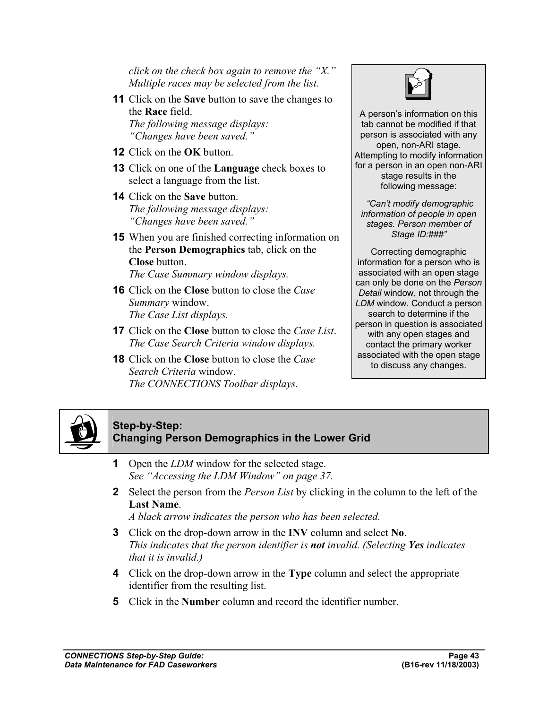*click on the check box again to remove the "X." Multiple races may be selected from the list.*

- **11** Click on the **Save** button to save the changes to the **Race** field. *The following message displays: "Changes have been saved."*
- **12** Click on the **OK** button.
- **13** Click on one of the **Language** check boxes to select a language from the list.
- **14** Click on the **Save** button. *The following message displays: "Changes have been saved."*
- **15** When you are finished correcting information on the **Person Demographics** tab, click on the **Close** button.

*The Case Summary window displays.* 

- **16** Click on the **Close** button to close the *Case Summary* window. *The Case List displays.*
- **17** Click on the **Close** button to close the *Case List*. *The Case Search Criteria window displays.*
- **18** Click on the **Close** button to close the *Case Search Criteria* window. *The CONNECTIONS Toolbar displays.*



A person's information on this tab cannot be modified if that person is associated with any open, non-ARI stage. Attempting to modify information for a person in an open non-ARI stage results in the following message:

 *"Can't modify demographic information of people in open stages. Person member of Stage ID:###"* 

Correcting demographic information for a person who is associated with an open stage can only be done on the *Person Detail* window, not through the *LDM* window. Conduct a person search to determine if the person in question is associated with any open stages and contact the primary worker associated with the open stage to discuss any changes.



#### **Step-by-Step: Changing Person Demographics in the Lower Grid**

- **1** Open the *LDM* window for the selected stage. *See "Accessing the LDM Window" on page 37.*
- **2** Select the person from the *Person List* by clicking in the column to the left of the **Last Name**.

*A black arrow indicates the person who has been selected.* 

- **3** Click on the drop-down arrow in the **INV** column and select **No**. *This indicates that the person identifier is not invalid. (Selecting Yes indicates that it is invalid.)*
- **4** Click on the drop-down arrow in the **Type** column and select the appropriate identifier from the resulting list.
- **5** Click in the **Number** column and record the identifier number.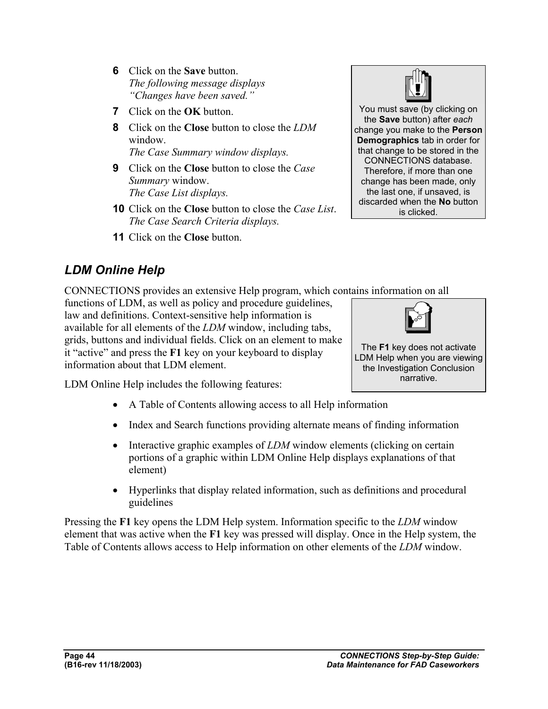- **6** Click on the **Save** button. *The following message displays "Changes have been saved."*
- **7** Click on the **OK** button.
- **8** Click on the **Close** button to close the *LDM*  window. *The Case Summary window displays.*
- **9** Click on the **Close** button to close the *Case Summary* window. *The Case List displays.*
- **10** Click on the **Close** button to close the *Case List*. *The Case Search Criteria displays.*
- **11** Click on the **Close** button.



CONNECTIONS provides an extensive Help program, which contains information on all

functions of LDM, as well as policy and procedure guidelines, law and definitions. Context-sensitive help information is available for all elements of the *LDM* window, including tabs, grids, buttons and individual fields. Click on an element to make it "active" and press the **F1** key on your keyboard to display information about that LDM element.



You must save (by clicking on the **Save** button) after *each*  change you make to the **Person Demographics** tab in order for that change to be stored in the CONNECTIONS database. Therefore, if more than one change has been made, only the last one, if unsaved, is discarded when the **No** button is clicked.



The **F1** key does not activate LDM Help when you are viewing the Investigation Conclusion narrative.

LDM Online Help includes the following features:

- A Table of Contents allowing access to all Help information
- Index and Search functions providing alternate means of finding information
- Interactive graphic examples of *LDM* window elements (clicking on certain portions of a graphic within LDM Online Help displays explanations of that element)
- Hyperlinks that display related information, such as definitions and procedural guidelines

Pressing the **F1** key opens the LDM Help system. Information specific to the *LDM* window element that was active when the **F1** key was pressed will display. Once in the Help system, the Table of Contents allows access to Help information on other elements of the *LDM* window.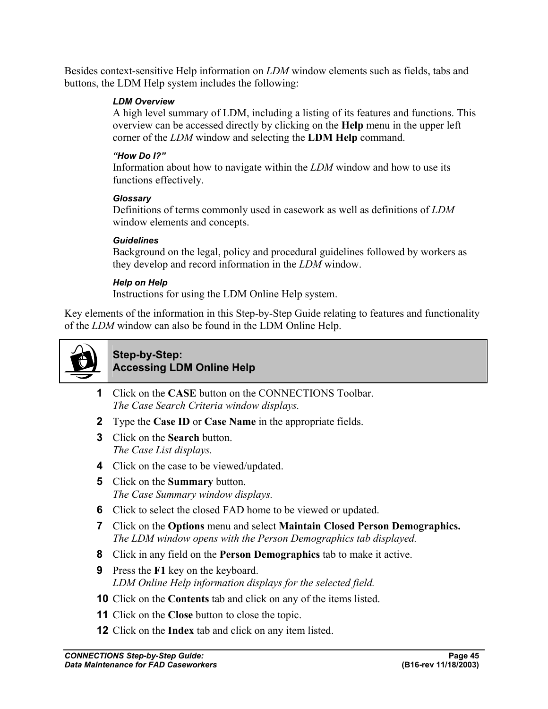Besides context-sensitive Help information on *LDM* window elements such as fields, tabs and buttons, the LDM Help system includes the following:

#### *LDM Overview*

A high level summary of LDM, including a listing of its features and functions. This overview can be accessed directly by clicking on the **Help** menu in the upper left corner of the *LDM* window and selecting the **LDM Help** command.

#### *"How Do I?"*

Information about how to navigate within the *LDM* window and how to use its functions effectively.

#### *Glossary*

Definitions of terms commonly used in casework as well as definitions of *LDM*  window elements and concepts.

#### *Guidelines*

Background on the legal, policy and procedural guidelines followed by workers as they develop and record information in the *LDM* window.

#### *Help on Help*

Instructions for using the LDM Online Help system.

Key elements of the information in this Step-by-Step Guide relating to features and functionality of the *LDM* window can also be found in the LDM Online Help.



#### **Step-by-Step: Accessing LDM Online Help**

- **1** Click on the **CASE** button on the CONNECTIONS Toolbar. *The Case Search Criteria window displays.*
- **2** Type the **Case ID** or **Case Name** in the appropriate fields.
- **3** Click on the **Search** button. *The Case List displays.*
- **4** Click on the case to be viewed/updated.
- **5** Click on the **Summary** button. *The Case Summary window displays.*
- **6** Click to select the closed FAD home to be viewed or updated.
- **7** Click on the **Options** menu and select **Maintain Closed Person Demographics.** *The LDM window opens with the Person Demographics tab displayed.*
- **8** Click in any field on the **Person Demographics** tab to make it active.
- **9** Press the **F1** key on the keyboard. *LDM Online Help information displays for the selected field.*
- **10** Click on the **Contents** tab and click on any of the items listed.
- **11** Click on the **Close** button to close the topic.
- **12** Click on the **Index** tab and click on any item listed.